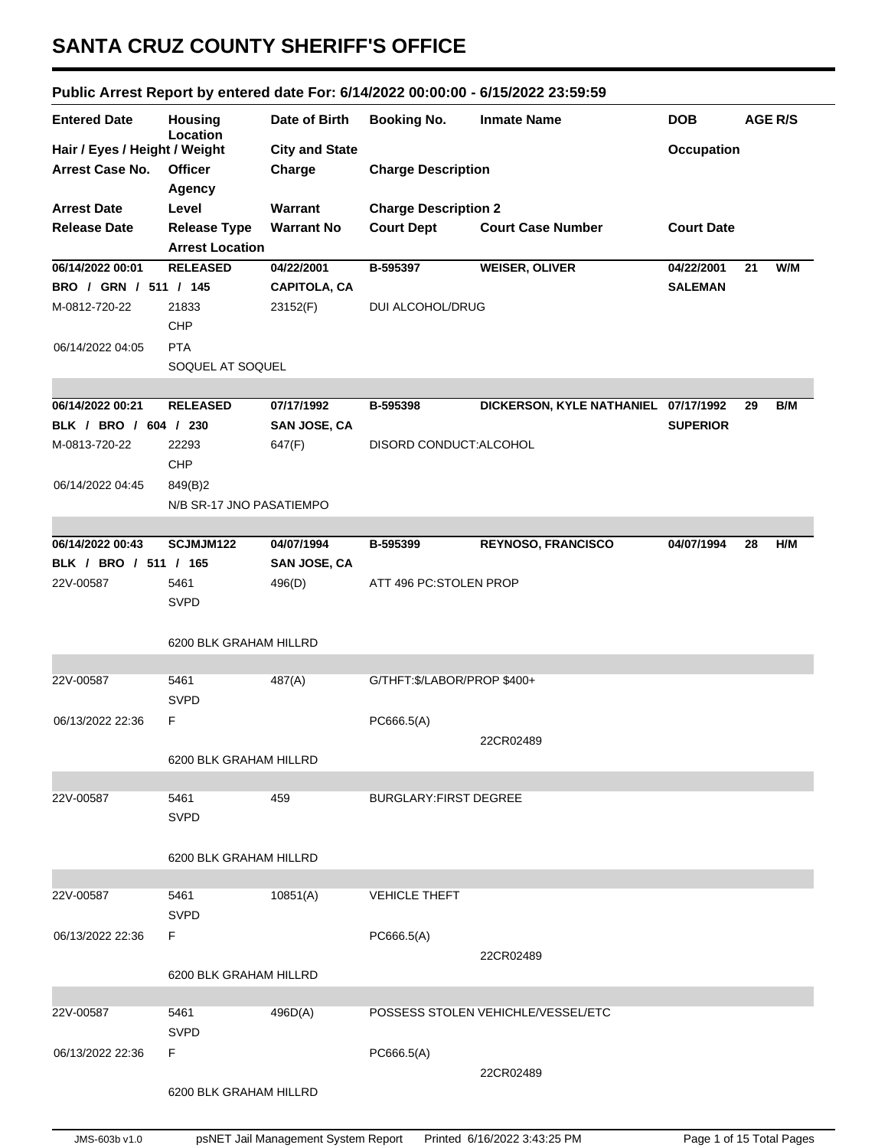## **SANTA CRUZ COUNTY SHERIFF'S OFFICE**

## **Public Arrest Report by entered date For: 6/14/2022 00:00:00 - 6/15/2022 23:59:59**

| <b>Entered Date</b>           | <b>Housing</b><br>Location | Date of Birth         | <b>Booking No.</b>           | <b>Inmate Name</b>                   | <b>DOB</b>        | <b>AGE R/S</b> |     |
|-------------------------------|----------------------------|-----------------------|------------------------------|--------------------------------------|-------------------|----------------|-----|
| Hair / Eyes / Height / Weight |                            | <b>City and State</b> |                              |                                      | <b>Occupation</b> |                |     |
| <b>Arrest Case No.</b>        | <b>Officer</b>             | Charge                | <b>Charge Description</b>    |                                      |                   |                |     |
|                               | Agency                     |                       |                              |                                      |                   |                |     |
| <b>Arrest Date</b>            | Level                      | Warrant               | <b>Charge Description 2</b>  |                                      |                   |                |     |
| <b>Release Date</b>           | <b>Release Type</b>        | <b>Warrant No</b>     | <b>Court Dept</b>            | <b>Court Case Number</b>             | <b>Court Date</b> |                |     |
|                               | <b>Arrest Location</b>     |                       |                              |                                      |                   |                |     |
| 06/14/2022 00:01              | <b>RELEASED</b>            | 04/22/2001            | B-595397                     | <b>WEISER, OLIVER</b>                | 04/22/2001        | 21             | W/M |
| BRO / GRN / 511 / 145         |                            | <b>CAPITOLA, CA</b>   |                              |                                      | <b>SALEMAN</b>    |                |     |
| M-0812-720-22                 | 21833                      | 23152(F)              | DUI ALCOHOL/DRUG             |                                      |                   |                |     |
|                               | CHP                        |                       |                              |                                      |                   |                |     |
| 06/14/2022 04:05              | <b>PTA</b>                 |                       |                              |                                      |                   |                |     |
|                               | SOQUEL AT SOQUEL           |                       |                              |                                      |                   |                |     |
|                               |                            |                       |                              |                                      |                   |                |     |
| 06/14/2022 00:21              | <b>RELEASED</b>            | 07/17/1992            | B-595398                     | DICKERSON, KYLE NATHANIEL 07/17/1992 |                   | 29             | B/M |
| BLK / BRO / 604 / 230         |                            | <b>SAN JOSE, CA</b>   |                              |                                      | <b>SUPERIOR</b>   |                |     |
| M-0813-720-22                 | 22293                      | 647(F)                | DISORD CONDUCT: ALCOHOL      |                                      |                   |                |     |
|                               | <b>CHP</b>                 |                       |                              |                                      |                   |                |     |
| 06/14/2022 04:45              | 849(B)2                    |                       |                              |                                      |                   |                |     |
|                               | N/B SR-17 JNO PASATIEMPO   |                       |                              |                                      |                   |                |     |
|                               |                            |                       |                              |                                      |                   |                |     |
| 06/14/2022 00:43              | SCJMJM122                  | 04/07/1994            | B-595399                     | <b>REYNOSO, FRANCISCO</b>            | 04/07/1994        | 28             | H/M |
| BLK / BRO / 511 / 165         |                            | <b>SAN JOSE, CA</b>   |                              |                                      |                   |                |     |
| 22V-00587                     | 5461                       | 496(D)                | ATT 496 PC:STOLEN PROP       |                                      |                   |                |     |
|                               | <b>SVPD</b>                |                       |                              |                                      |                   |                |     |
|                               |                            |                       |                              |                                      |                   |                |     |
|                               | 6200 BLK GRAHAM HILLRD     |                       |                              |                                      |                   |                |     |
| 22V-00587                     | 5461                       | 487(A)                | G/THFT:\$/LABOR/PROP \$400+  |                                      |                   |                |     |
|                               | <b>SVPD</b>                |                       |                              |                                      |                   |                |     |
| 06/13/2022 22:36              | F                          |                       |                              |                                      |                   |                |     |
|                               |                            |                       | PC666.5(A)                   |                                      |                   |                |     |
|                               | 6200 BLK GRAHAM HILLRD     |                       | 22CR02489                    |                                      |                   |                |     |
|                               |                            |                       |                              |                                      |                   |                |     |
| 22V-00587                     | 5461                       | 459                   | <b>BURGLARY:FIRST DEGREE</b> |                                      |                   |                |     |
|                               | <b>SVPD</b>                |                       |                              |                                      |                   |                |     |
|                               |                            |                       |                              |                                      |                   |                |     |
|                               | 6200 BLK GRAHAM HILLRD     |                       |                              |                                      |                   |                |     |
|                               |                            |                       |                              |                                      |                   |                |     |
| 22V-00587                     | 5461                       | 10851(A)              | <b>VEHICLE THEFT</b>         |                                      |                   |                |     |
|                               | <b>SVPD</b>                |                       |                              |                                      |                   |                |     |
| 06/13/2022 22:36              | F                          |                       | PC666.5(A)                   |                                      |                   |                |     |
|                               |                            |                       |                              | 22CR02489                            |                   |                |     |
|                               | 6200 BLK GRAHAM HILLRD     |                       |                              |                                      |                   |                |     |
|                               |                            |                       |                              |                                      |                   |                |     |
| 22V-00587                     | 5461                       | 496D(A)               |                              | POSSESS STOLEN VEHICHLE/VESSEL/ETC   |                   |                |     |
|                               | <b>SVPD</b>                |                       |                              |                                      |                   |                |     |
| 06/13/2022 22:36              | F                          |                       | PC666.5(A)                   |                                      |                   |                |     |
|                               |                            |                       |                              | 22CR02489                            |                   |                |     |
|                               | 6200 BLK GRAHAM HILLRD     |                       |                              |                                      |                   |                |     |
|                               |                            |                       |                              |                                      |                   |                |     |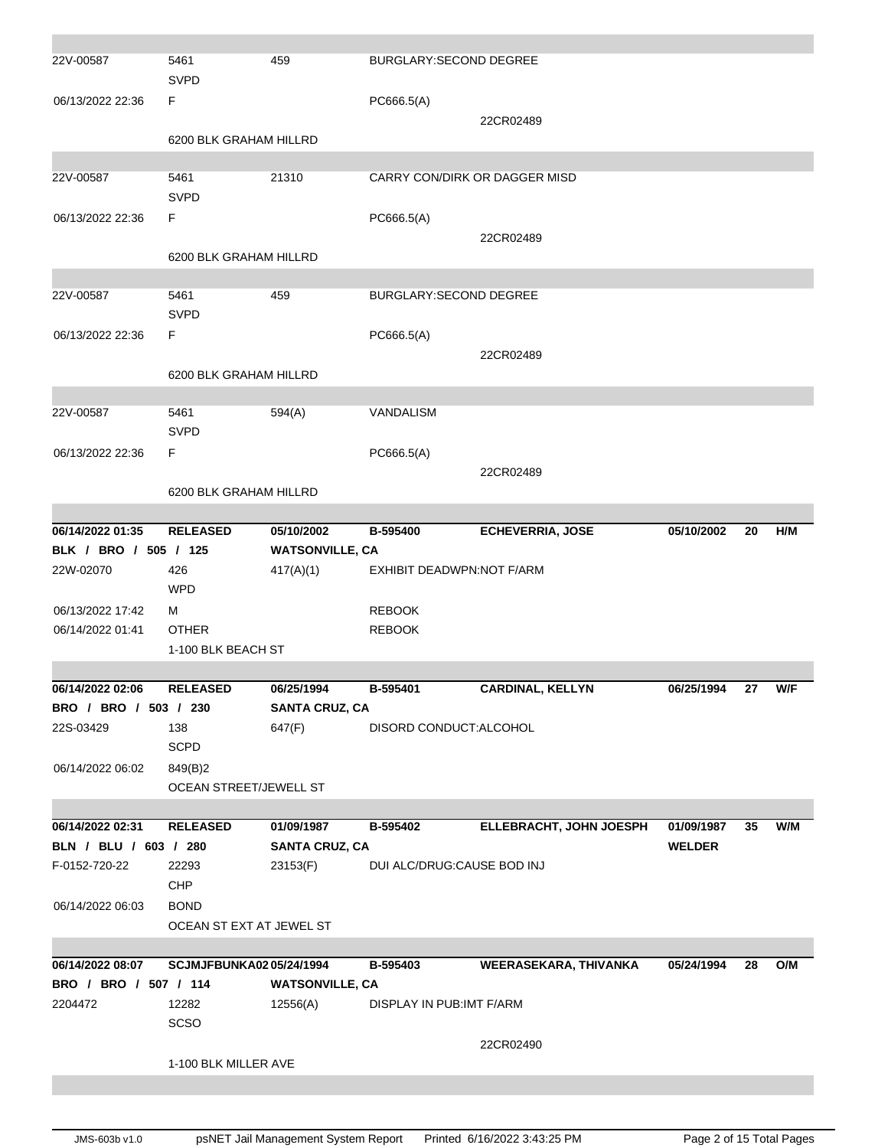| 22V-00587             | 5461<br><b>SVPD</b>                | 459                    | BURGLARY:SECOND DEGREE        |                         |               |    |     |
|-----------------------|------------------------------------|------------------------|-------------------------------|-------------------------|---------------|----|-----|
| 06/13/2022 22:36      | F                                  |                        | PC666.5(A)                    |                         |               |    |     |
|                       |                                    |                        |                               | 22CR02489               |               |    |     |
|                       | 6200 BLK GRAHAM HILLRD             |                        |                               |                         |               |    |     |
| 22V-00587             | 5461                               | 21310                  | CARRY CON/DIRK OR DAGGER MISD |                         |               |    |     |
|                       | <b>SVPD</b>                        |                        |                               |                         |               |    |     |
| 06/13/2022 22:36      | F.                                 |                        | PC666.5(A)                    |                         |               |    |     |
|                       |                                    |                        |                               | 22CR02489               |               |    |     |
|                       | 6200 BLK GRAHAM HILLRD             |                        |                               |                         |               |    |     |
| 22V-00587             | 5461                               | 459                    | <b>BURGLARY:SECOND DEGREE</b> |                         |               |    |     |
|                       | <b>SVPD</b>                        |                        |                               |                         |               |    |     |
| 06/13/2022 22:36      | F.                                 |                        | PC666.5(A)                    |                         |               |    |     |
|                       |                                    |                        |                               | 22CR02489               |               |    |     |
|                       | 6200 BLK GRAHAM HILLRD             |                        |                               |                         |               |    |     |
| 22V-00587             | 5461                               | 594(A)                 | <b>VANDALISM</b>              |                         |               |    |     |
|                       | <b>SVPD</b>                        |                        |                               |                         |               |    |     |
| 06/13/2022 22:36      | F.                                 |                        | PC666.5(A)                    |                         |               |    |     |
|                       |                                    |                        |                               | 22CR02489               |               |    |     |
|                       | 6200 BLK GRAHAM HILLRD             |                        |                               |                         |               |    |     |
| 06/14/2022 01:35      | <b>RELEASED</b>                    | 05/10/2002             | B-595400                      | <b>ECHEVERRIA, JOSE</b> | 05/10/2002    | 20 | H/M |
| BLK / BRO / 505 / 125 |                                    | <b>WATSONVILLE, CA</b> |                               |                         |               |    |     |
| 22W-02070             | 426                                | 417(A)(1)              | EXHIBIT DEADWPN:NOT F/ARM     |                         |               |    |     |
|                       | <b>WPD</b>                         |                        |                               |                         |               |    |     |
| 06/13/2022 17:42      | м                                  |                        | <b>REBOOK</b>                 |                         |               |    |     |
| 06/14/2022 01:41      | <b>OTHER</b><br>1-100 BLK BEACH ST |                        | <b>REBOOK</b>                 |                         |               |    |     |
|                       |                                    |                        |                               |                         |               |    |     |
| 06/14/2022 02:06      | <b>RELEASED</b>                    | 06/25/1994             | B-595401                      | <b>CARDINAL, KELLYN</b> | 06/25/1994    | 27 | W/F |
| BRO / BRO / 503 / 230 |                                    | <b>SANTA CRUZ, CA</b>  |                               |                         |               |    |     |
| 22S-03429             | 138                                | 647(F)                 | DISORD CONDUCT:ALCOHOL        |                         |               |    |     |
| 06/14/2022 06:02      | <b>SCPD</b><br>849(B)2             |                        |                               |                         |               |    |     |
|                       | OCEAN STREET/JEWELL ST             |                        |                               |                         |               |    |     |
|                       |                                    |                        |                               |                         |               |    |     |
| 06/14/2022 02:31      | <b>RELEASED</b>                    | 01/09/1987             | B-595402                      | ELLEBRACHT, JOHN JOESPH | 01/09/1987    | 35 | W/M |
| BLN / BLU / 603 / 280 |                                    | <b>SANTA CRUZ, CA</b>  |                               |                         | <b>WELDER</b> |    |     |
| F-0152-720-22         | 22293                              | 23153(F)               | DUI ALC/DRUG:CAUSE BOD INJ    |                         |               |    |     |
| 06/14/2022 06:03      | <b>CHP</b><br><b>BOND</b>          |                        |                               |                         |               |    |     |
|                       | OCEAN ST EXT AT JEWEL ST           |                        |                               |                         |               |    |     |
|                       |                                    |                        |                               |                         |               |    |     |
| 06/14/2022 08:07      | SCJMJFBUNKA0205/24/1994            |                        | B-595403                      | WEERASEKARA, THIVANKA   | 05/24/1994    | 28 | O/M |
| BRO / BRO / 507 / 114 |                                    | <b>WATSONVILLE, CA</b> |                               |                         |               |    |     |
| 2204472               |                                    |                        |                               |                         |               |    |     |
|                       | 12282                              | 12556(A)               | DISPLAY IN PUB: IMT F/ARM     |                         |               |    |     |
|                       | SCSO                               |                        |                               |                         |               |    |     |
|                       | 1-100 BLK MILLER AVE               |                        |                               | 22CR02490               |               |    |     |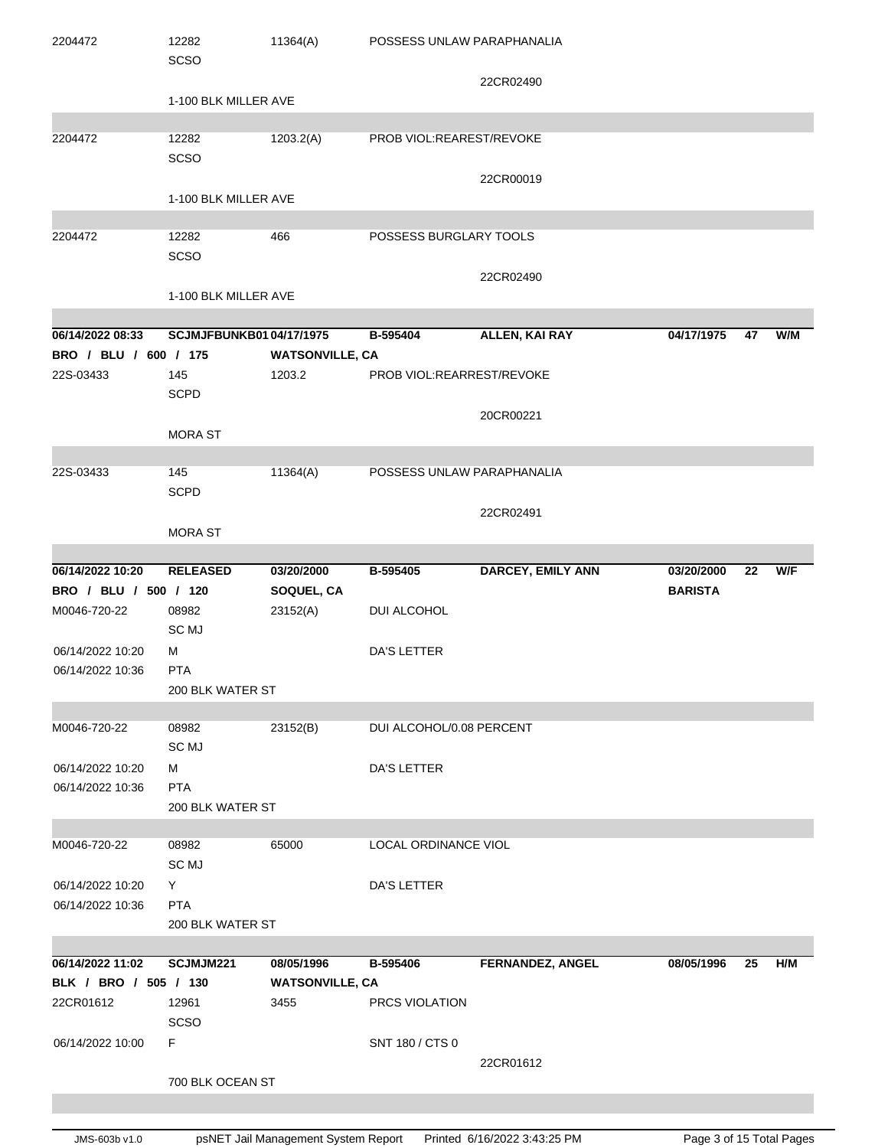| 2204472                                   | 12282<br><b>SCSO</b>           | 11364(A)                         | POSSESS UNLAW PARAPHANALIA |                          |                |    |            |
|-------------------------------------------|--------------------------------|----------------------------------|----------------------------|--------------------------|----------------|----|------------|
|                                           |                                |                                  |                            | 22CR02490                |                |    |            |
|                                           | 1-100 BLK MILLER AVE           |                                  |                            |                          |                |    |            |
|                                           |                                |                                  |                            |                          |                |    |            |
| 2204472                                   | 12282<br><b>SCSO</b>           | 1203.2(A)                        | PROB VIOL:REAREST/REVOKE   |                          |                |    |            |
|                                           |                                |                                  |                            | 22CR00019                |                |    |            |
|                                           | 1-100 BLK MILLER AVE           |                                  |                            |                          |                |    |            |
|                                           |                                |                                  |                            |                          |                |    |            |
| 2204472                                   | 12282                          | 466                              | POSSESS BURGLARY TOOLS     |                          |                |    |            |
|                                           | SCSO                           |                                  |                            |                          |                |    |            |
|                                           |                                |                                  |                            | 22CR02490                |                |    |            |
|                                           | 1-100 BLK MILLER AVE           |                                  |                            |                          |                |    |            |
|                                           |                                |                                  |                            |                          |                |    |            |
| 06/14/2022 08:33<br>BRO / BLU / 600 / 175 | <b>SCJMJFBUNKB0104/17/1975</b> |                                  | B-595404                   | <b>ALLEN, KAI RAY</b>    | 04/17/1975     | 47 | W/M        |
| 22S-03433                                 | 145                            | <b>WATSONVILLE, CA</b><br>1203.2 | PROB VIOL:REARREST/REVOKE  |                          |                |    |            |
|                                           | <b>SCPD</b>                    |                                  |                            |                          |                |    |            |
|                                           |                                |                                  |                            | 20CR00221                |                |    |            |
|                                           | <b>MORA ST</b>                 |                                  |                            |                          |                |    |            |
|                                           |                                |                                  |                            |                          |                |    |            |
| 22S-03433                                 | 145                            | 11364(A)                         | POSSESS UNLAW PARAPHANALIA |                          |                |    |            |
|                                           | <b>SCPD</b>                    |                                  |                            |                          |                |    |            |
|                                           |                                |                                  |                            | 22CR02491                |                |    |            |
|                                           | <b>MORA ST</b>                 |                                  |                            |                          |                |    |            |
| 06/14/2022 10:20                          | <b>RELEASED</b>                | 03/20/2000                       | B-595405                   | <b>DARCEY, EMILY ANN</b> | 03/20/2000     | 22 | <b>W/F</b> |
| BRO / BLU / 500 / 120                     |                                | SOQUEL, CA                       |                            |                          | <b>BARISTA</b> |    |            |
| M0046-720-22                              | 08982                          | 23152(A)                         | DUI ALCOHOL                |                          |                |    |            |
|                                           | SC MJ                          |                                  |                            |                          |                |    |            |
| 06/14/2022 10:20                          | м                              |                                  | DA'S LETTER                |                          |                |    |            |
| 06/14/2022 10:36                          | <b>PTA</b>                     |                                  |                            |                          |                |    |            |
|                                           | 200 BLK WATER ST               |                                  |                            |                          |                |    |            |
| M0046-720-22                              | 08982                          | 23152(B)                         | DUI ALCOHOL/0.08 PERCENT   |                          |                |    |            |
|                                           | SC MJ                          |                                  |                            |                          |                |    |            |
| 06/14/2022 10:20                          | М                              |                                  | <b>DA'S LETTER</b>         |                          |                |    |            |
| 06/14/2022 10:36                          | <b>PTA</b>                     |                                  |                            |                          |                |    |            |
|                                           | 200 BLK WATER ST               |                                  |                            |                          |                |    |            |
|                                           |                                |                                  |                            |                          |                |    |            |
| M0046-720-22                              | 08982                          | 65000                            | LOCAL ORDINANCE VIOL       |                          |                |    |            |
|                                           | SC MJ                          |                                  |                            |                          |                |    |            |
| 06/14/2022 10:20<br>06/14/2022 10:36      | Y<br><b>PTA</b>                |                                  | DA'S LETTER                |                          |                |    |            |
|                                           | 200 BLK WATER ST               |                                  |                            |                          |                |    |            |
|                                           |                                |                                  |                            |                          |                |    |            |
| 06/14/2022 11:02                          | SCJMJM221                      | 08/05/1996                       | B-595406                   | <b>FERNANDEZ, ANGEL</b>  | 08/05/1996     | 25 | H/M        |
| BLK / BRO / 505 / 130                     |                                | <b>WATSONVILLE, CA</b>           |                            |                          |                |    |            |
| 22CR01612                                 | 12961                          | 3455                             | PRCS VIOLATION             |                          |                |    |            |
|                                           | <b>SCSO</b>                    |                                  |                            |                          |                |    |            |
| 06/14/2022 10:00                          | F.                             |                                  | SNT 180 / CTS 0            |                          |                |    |            |
|                                           |                                |                                  |                            | 22CR01612                |                |    |            |
|                                           | 700 BLK OCEAN ST               |                                  |                            |                          |                |    |            |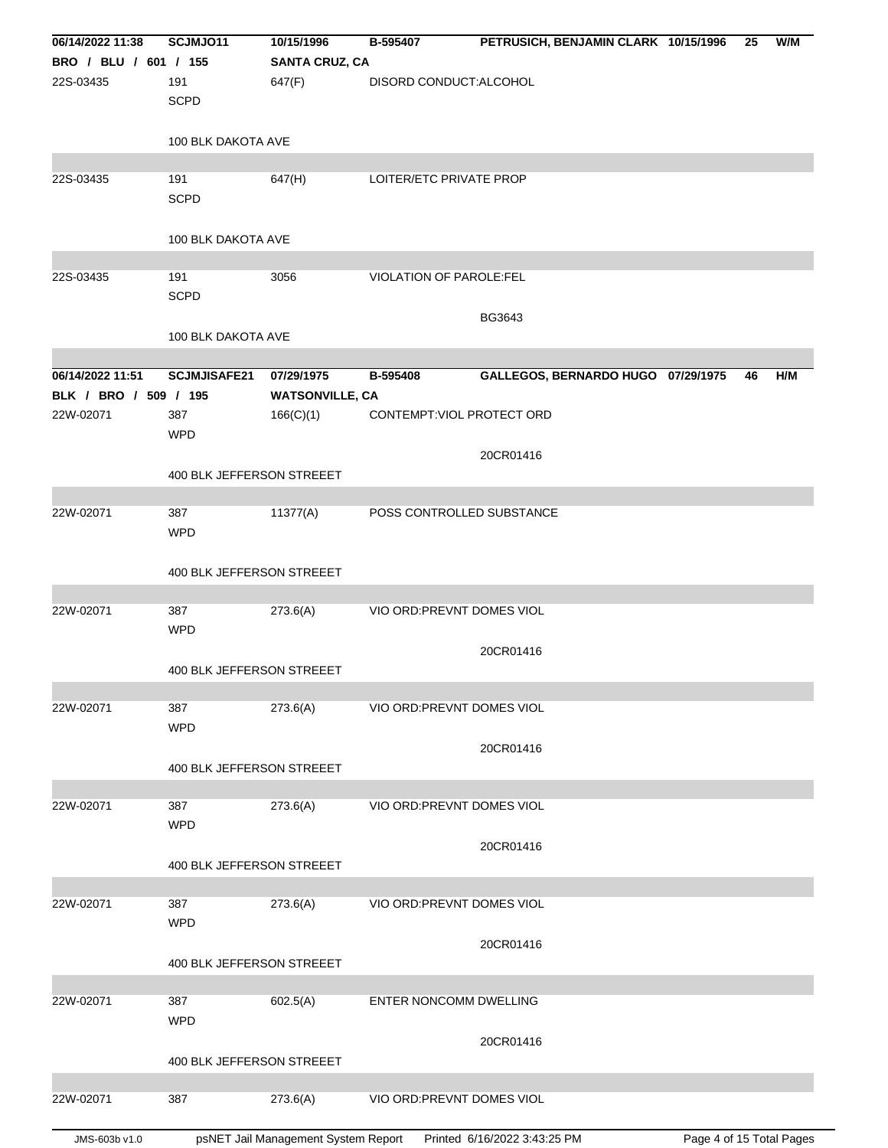| 06/14/2022 11:38      | SCJMJ011                  | 10/15/1996             | B-595407                   | PETRUSICH, BENJAMIN CLARK 10/15/1996 | 25 | W/M |
|-----------------------|---------------------------|------------------------|----------------------------|--------------------------------------|----|-----|
| BRO / BLU / 601 / 155 |                           | <b>SANTA CRUZ, CA</b>  |                            |                                      |    |     |
| 22S-03435             | 191                       | 647(F)                 | DISORD CONDUCT:ALCOHOL     |                                      |    |     |
|                       | <b>SCPD</b>               |                        |                            |                                      |    |     |
|                       | 100 BLK DAKOTA AVE        |                        |                            |                                      |    |     |
|                       |                           |                        |                            |                                      |    |     |
| 22S-03435             | 191                       | 647(H)                 | LOITER/ETC PRIVATE PROP    |                                      |    |     |
|                       | <b>SCPD</b>               |                        |                            |                                      |    |     |
|                       |                           |                        |                            |                                      |    |     |
|                       | 100 BLK DAKOTA AVE        |                        |                            |                                      |    |     |
| 22S-03435             | 191                       | 3056                   | VIOLATION OF PAROLE:FEL    |                                      |    |     |
|                       | <b>SCPD</b>               |                        |                            |                                      |    |     |
|                       |                           |                        |                            | BG3643                               |    |     |
|                       | 100 BLK DAKOTA AVE        |                        |                            |                                      |    |     |
|                       |                           |                        |                            |                                      |    |     |
| 06/14/2022 11:51      | <b>SCJMJISAFE21</b>       | 07/29/1975             | B-595408                   | GALLEGOS, BERNARDO HUGO 07/29/1975   | 46 | H/M |
| BLK / BRO / 509 / 195 |                           | <b>WATSONVILLE, CA</b> |                            |                                      |    |     |
| 22W-02071             | 387                       | 166(C)(1)              | CONTEMPT: VIOL PROTECT ORD |                                      |    |     |
|                       | <b>WPD</b>                |                        |                            |                                      |    |     |
|                       |                           |                        |                            | 20CR01416                            |    |     |
|                       | 400 BLK JEFFERSON STREEET |                        |                            |                                      |    |     |
| 22W-02071             | 387                       | 11377(A)               | POSS CONTROLLED SUBSTANCE  |                                      |    |     |
|                       | <b>WPD</b>                |                        |                            |                                      |    |     |
|                       |                           |                        |                            |                                      |    |     |
|                       | 400 BLK JEFFERSON STREEET |                        |                            |                                      |    |     |
|                       |                           |                        |                            |                                      |    |     |
| 22W-02071             | 387                       | 273.6(A)               | VIO ORD: PREVNT DOMES VIOL |                                      |    |     |
|                       | <b>WPD</b>                |                        |                            |                                      |    |     |
|                       |                           |                        |                            | 20CR01416                            |    |     |
|                       | 400 BLK JEFFERSON STREEET |                        |                            |                                      |    |     |
|                       |                           |                        |                            |                                      |    |     |
| 22W-02071             | 387<br><b>WPD</b>         | 273.6(A)               | VIO ORD: PREVNT DOMES VIOL |                                      |    |     |
|                       |                           |                        |                            | 20CR01416                            |    |     |
|                       | 400 BLK JEFFERSON STREEET |                        |                            |                                      |    |     |
|                       |                           |                        |                            |                                      |    |     |
| 22W-02071             | 387                       | 273.6(A)               | VIO ORD: PREVNT DOMES VIOL |                                      |    |     |
|                       | <b>WPD</b>                |                        |                            |                                      |    |     |
|                       |                           |                        |                            | 20CR01416                            |    |     |
|                       | 400 BLK JEFFERSON STREEET |                        |                            |                                      |    |     |
|                       |                           |                        |                            |                                      |    |     |
| 22W-02071             | 387                       | 273.6(A)               | VIO ORD: PREVNT DOMES VIOL |                                      |    |     |
|                       | <b>WPD</b>                |                        |                            |                                      |    |     |
|                       | 400 BLK JEFFERSON STREEET |                        |                            | 20CR01416                            |    |     |
|                       |                           |                        |                            |                                      |    |     |
| 22W-02071             | 387                       | 602.5(A)               | ENTER NONCOMM DWELLING     |                                      |    |     |
|                       | <b>WPD</b>                |                        |                            |                                      |    |     |
|                       |                           |                        |                            | 20CR01416                            |    |     |
|                       | 400 BLK JEFFERSON STREEET |                        |                            |                                      |    |     |
|                       |                           |                        |                            |                                      |    |     |
| 22W-02071             | 387                       | 273.6(A)               | VIO ORD: PREVNT DOMES VIOL |                                      |    |     |
|                       |                           |                        |                            |                                      |    |     |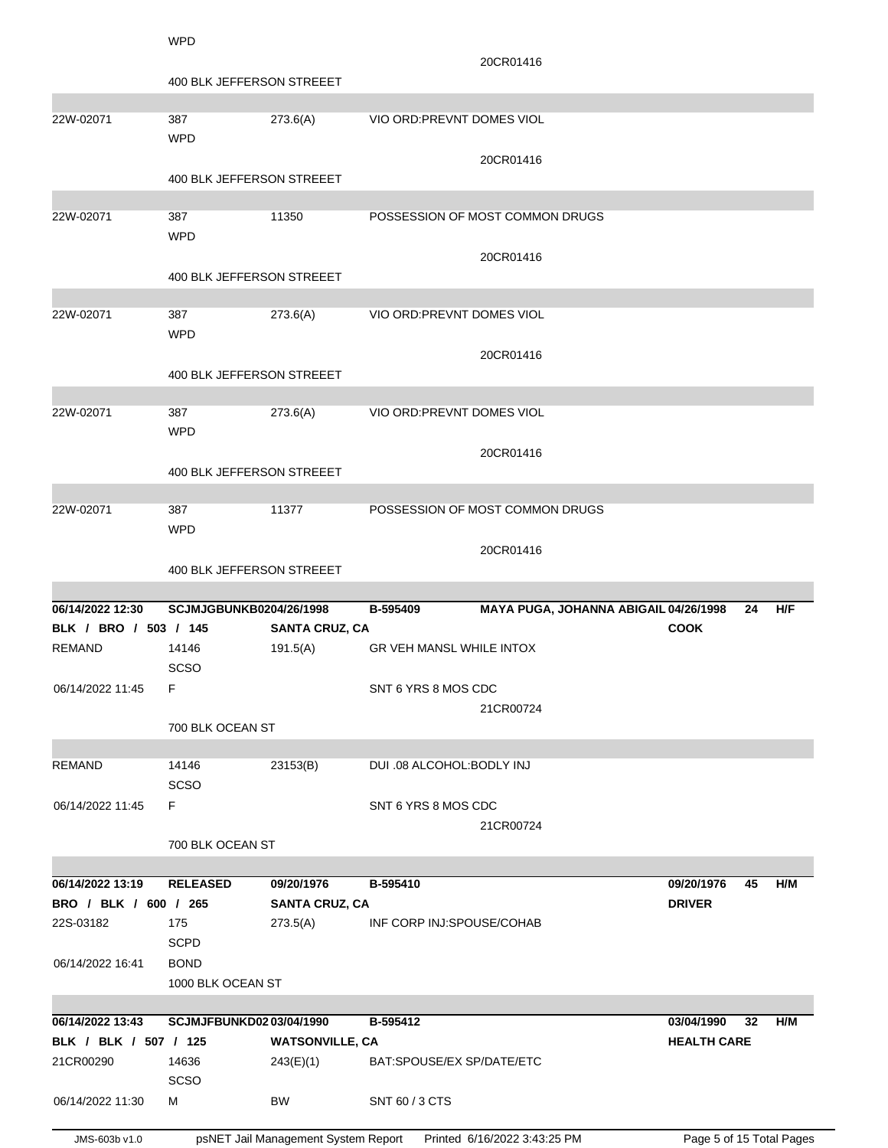| 400 BLK JEFFERSON STREEET<br>22W-02071<br>387<br>273.6(A)<br>VIO ORD: PREVNT DOMES VIOL                |           |  |
|--------------------------------------------------------------------------------------------------------|-----------|--|
|                                                                                                        |           |  |
|                                                                                                        |           |  |
|                                                                                                        |           |  |
| <b>WPD</b>                                                                                             |           |  |
| 20CR01416                                                                                              |           |  |
| 400 BLK JEFFERSON STREEET                                                                              |           |  |
| 11350<br>22W-02071<br>387<br>POSSESSION OF MOST COMMON DRUGS                                           |           |  |
| <b>WPD</b>                                                                                             |           |  |
| 20CR01416                                                                                              |           |  |
| 400 BLK JEFFERSON STREEET                                                                              |           |  |
|                                                                                                        |           |  |
| 22W-02071<br>387<br>273.6(A)<br>VIO ORD: PREVNT DOMES VIOL                                             |           |  |
| <b>WPD</b>                                                                                             |           |  |
| 20CR01416                                                                                              |           |  |
| 400 BLK JEFFERSON STREEET                                                                              |           |  |
|                                                                                                        |           |  |
| 22W-02071<br>387<br>273.6(A)<br>VIO ORD: PREVNT DOMES VIOL                                             |           |  |
| <b>WPD</b>                                                                                             |           |  |
| 20CR01416                                                                                              |           |  |
| 400 BLK JEFFERSON STREEET                                                                              |           |  |
|                                                                                                        |           |  |
| 22W-02071<br>387<br>11377<br>POSSESSION OF MOST COMMON DRUGS<br><b>WPD</b>                             |           |  |
|                                                                                                        |           |  |
|                                                                                                        |           |  |
| 20CR01416                                                                                              |           |  |
| 400 BLK JEFFERSON STREEET                                                                              |           |  |
| 06/14/2022 12:30<br>SCJMJGBUNKB0204/26/1998<br>B-595409                                                | H/F<br>24 |  |
| MAYA PUGA, JOHANNA ABIGAIL 04/26/1998<br><b>COOK</b><br>BLK / BRO / 503 / 145<br><b>SANTA CRUZ, CA</b> |           |  |
| <b>REMAND</b><br>191.5(A)<br><b>GR VEH MANSL WHILE INTOX</b><br>14146                                  |           |  |
| <b>SCSO</b>                                                                                            |           |  |
| F<br>06/14/2022 11:45<br>SNT 6 YRS 8 MOS CDC                                                           |           |  |
| 21CR00724                                                                                              |           |  |
| 700 BLK OCEAN ST                                                                                       |           |  |
|                                                                                                        |           |  |
| <b>REMAND</b><br>14146<br>23153(B)<br>DUI .08 ALCOHOL:BODLY INJ                                        |           |  |
| <b>SCSO</b>                                                                                            |           |  |
| 06/14/2022 11:45<br>F.<br>SNT 6 YRS 8 MOS CDC                                                          |           |  |
| 21CR00724                                                                                              |           |  |
| 700 BLK OCEAN ST                                                                                       |           |  |
| 06/14/2022 13:19<br><b>RELEASED</b><br>09/20/1976<br>B-595410<br>09/20/1976                            | 45<br>H/M |  |
| BRO / BLK / 600 / 265<br><b>SANTA CRUZ, CA</b><br><b>DRIVER</b>                                        |           |  |
| 22S-03182<br>175<br>273.5(A)<br>INF CORP INJ:SPOUSE/COHAB                                              |           |  |
| <b>SCPD</b>                                                                                            |           |  |
| <b>BOND</b><br>06/14/2022 16:41                                                                        |           |  |
| 1000 BLK OCEAN ST                                                                                      |           |  |
|                                                                                                        |           |  |
| 06/14/2022 13:43<br>SCJMJFBUNKD0203/04/1990<br>B-595412<br>03/04/1990                                  | 32<br>H/M |  |
| BLK / BLK / 507 / 125<br><b>WATSONVILLE, CA</b><br><b>HEALTH CARE</b>                                  |           |  |
| 21CR00290<br>14636<br>243(E)(1)<br>BAT:SPOUSE/EX SP/DATE/ETC                                           |           |  |
| <b>SCSO</b><br>06/14/2022 11:30<br>BW<br>SNT 60 / 3 CTS<br>м                                           |           |  |

JMS-603b v1.0 psNET Jail Management System Report Printed 6/16/2022 3:43:25 PM Page 5 of 15 Total Pages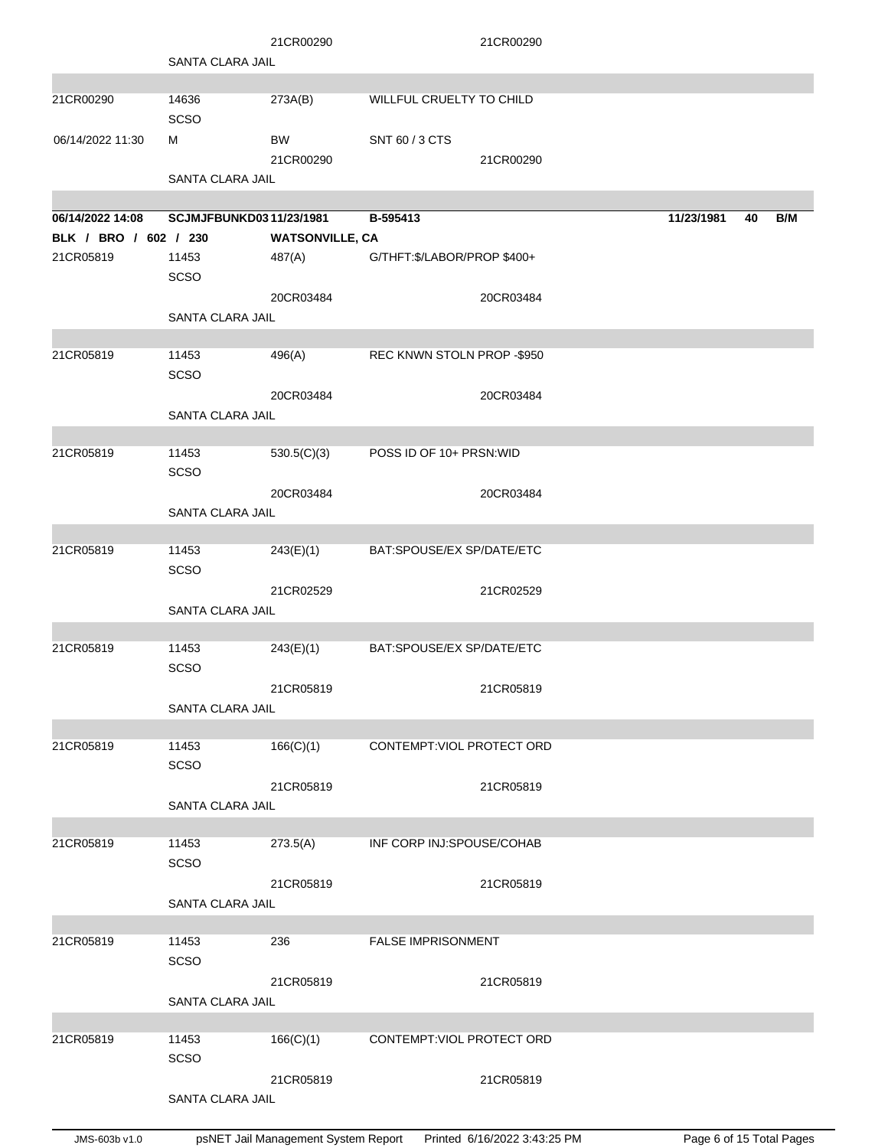|                       |                         | 21CR00290              |                             | 21CR00290 |            |    |     |
|-----------------------|-------------------------|------------------------|-----------------------------|-----------|------------|----|-----|
|                       | SANTA CLARA JAIL        |                        |                             |           |            |    |     |
|                       |                         |                        |                             |           |            |    |     |
| 21CR00290             | 14636<br>SCSO           | 273A(B)                | WILLFUL CRUELTY TO CHILD    |           |            |    |     |
| 06/14/2022 11:30      | м                       | BW                     | SNT 60 / 3 CTS              |           |            |    |     |
|                       |                         | 21CR00290              |                             | 21CR00290 |            |    |     |
|                       | SANTA CLARA JAIL        |                        |                             |           |            |    |     |
| 06/14/2022 14:08      | SCJMJFBUNKD0311/23/1981 |                        | B-595413                    |           | 11/23/1981 | 40 | B/M |
| BLK / BRO / 602 / 230 |                         | <b>WATSONVILLE, CA</b> |                             |           |            |    |     |
| 21CR05819             | 11453                   | 487(A)                 | G/THFT:\$/LABOR/PROP \$400+ |           |            |    |     |
|                       | <b>SCSO</b>             |                        |                             |           |            |    |     |
|                       |                         | 20CR03484              |                             | 20CR03484 |            |    |     |
|                       | <b>SANTA CLARA JAIL</b> |                        |                             |           |            |    |     |
|                       |                         |                        |                             |           |            |    |     |
| 21CR05819             | 11453<br>SCSO           | 496(A)                 | REC KNWN STOLN PROP -\$950  |           |            |    |     |
|                       |                         | 20CR03484              |                             | 20CR03484 |            |    |     |
|                       | SANTA CLARA JAIL        |                        |                             |           |            |    |     |
|                       |                         |                        |                             |           |            |    |     |
| 21CR05819             | 11453                   | 530.5(C)(3)            | POSS ID OF 10+ PRSN: WID    |           |            |    |     |
|                       | <b>SCSO</b>             |                        |                             |           |            |    |     |
|                       | <b>SANTA CLARA JAIL</b> | 20CR03484              |                             | 20CR03484 |            |    |     |
|                       |                         |                        |                             |           |            |    |     |
| 21CR05819             | 11453                   | 243(E)(1)              | BAT:SPOUSE/EX SP/DATE/ETC   |           |            |    |     |
|                       | <b>SCSO</b>             |                        |                             |           |            |    |     |
|                       |                         | 21CR02529              |                             | 21CR02529 |            |    |     |
|                       | <b>SANTA CLARA JAIL</b> |                        |                             |           |            |    |     |
|                       |                         |                        |                             |           |            |    |     |
| 21CR05819             | 11453<br><b>SCSO</b>    | 243(E)(1)              | BAT:SPOUSE/EX SP/DATE/ETC   |           |            |    |     |
|                       |                         | 21CR05819              |                             | 21CR05819 |            |    |     |
|                       | SANTA CLARA JAIL        |                        |                             |           |            |    |     |
|                       |                         |                        |                             |           |            |    |     |
| 21CR05819             | 11453                   | 166(C)(1)              | CONTEMPT: VIOL PROTECT ORD  |           |            |    |     |
|                       | <b>SCSO</b>             |                        |                             |           |            |    |     |
|                       |                         | 21CR05819              |                             | 21CR05819 |            |    |     |
|                       | SANTA CLARA JAIL        |                        |                             |           |            |    |     |
| 21CR05819             | 11453                   | 273.5(A)               | INF CORP INJ:SPOUSE/COHAB   |           |            |    |     |
|                       | SCSO                    |                        |                             |           |            |    |     |
|                       |                         | 21CR05819              |                             | 21CR05819 |            |    |     |
|                       | SANTA CLARA JAIL        |                        |                             |           |            |    |     |
|                       |                         |                        |                             |           |            |    |     |
| 21CR05819             | 11453                   | 236                    | <b>FALSE IMPRISONMENT</b>   |           |            |    |     |
|                       | <b>SCSO</b>             |                        |                             |           |            |    |     |
|                       |                         | 21CR05819              |                             | 21CR05819 |            |    |     |
|                       | SANTA CLARA JAIL        |                        |                             |           |            |    |     |
|                       |                         |                        |                             |           |            |    |     |
| 21CR05819             | 11453<br><b>SCSO</b>    | 166(C)(1)              | CONTEMPT: VIOL PROTECT ORD  |           |            |    |     |
|                       |                         | 21CR05819              |                             | 21CR05819 |            |    |     |
|                       | SANTA CLARA JAIL        |                        |                             |           |            |    |     |
|                       |                         |                        |                             |           |            |    |     |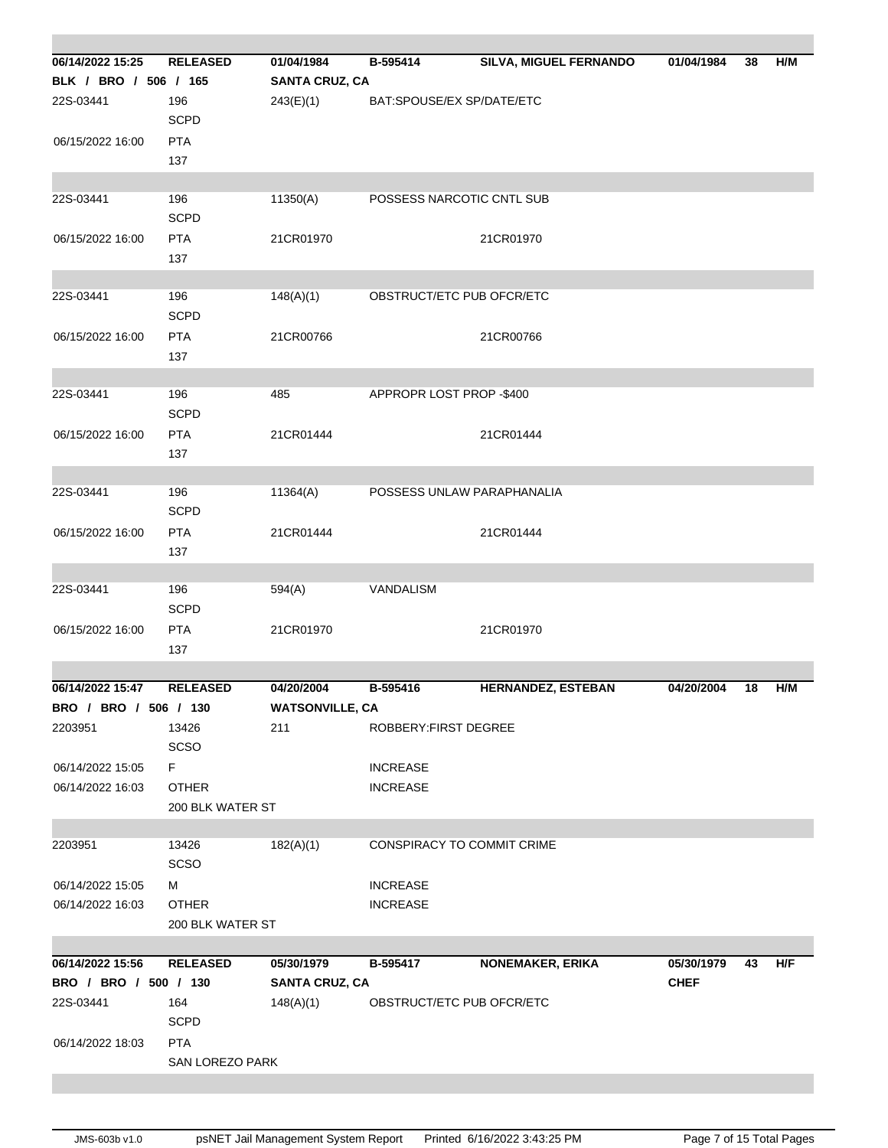| 06/14/2022 15:25      | <b>RELEASED</b>  | 01/04/1984             | B-595414                   | <b>SILVA, MIGUEL FERNANDO</b> | 01/04/1984  | 38 | H/M |
|-----------------------|------------------|------------------------|----------------------------|-------------------------------|-------------|----|-----|
| BLK / BRO / 506 / 165 |                  | <b>SANTA CRUZ, CA</b>  |                            |                               |             |    |     |
| 22S-03441             | 196              | 243(E)(1)              | BAT:SPOUSE/EX SP/DATE/ETC  |                               |             |    |     |
|                       | <b>SCPD</b>      |                        |                            |                               |             |    |     |
| 06/15/2022 16:00      | <b>PTA</b>       |                        |                            |                               |             |    |     |
|                       | 137              |                        |                            |                               |             |    |     |
|                       |                  |                        |                            |                               |             |    |     |
| 22S-03441             | 196              | 11350(A)               | POSSESS NARCOTIC CNTL SUB  |                               |             |    |     |
|                       | <b>SCPD</b>      |                        |                            |                               |             |    |     |
| 06/15/2022 16:00      | <b>PTA</b>       | 21CR01970              |                            | 21CR01970                     |             |    |     |
|                       | 137              |                        |                            |                               |             |    |     |
|                       |                  |                        |                            |                               |             |    |     |
| 22S-03441             | 196              | 148(A)(1)              | OBSTRUCT/ETC PUB OFCR/ETC  |                               |             |    |     |
|                       | <b>SCPD</b>      |                        |                            |                               |             |    |     |
| 06/15/2022 16:00      | <b>PTA</b>       | 21CR00766              |                            | 21CR00766                     |             |    |     |
|                       | 137              |                        |                            |                               |             |    |     |
| 22S-03441             | 196              | 485                    | APPROPR LOST PROP -\$400   |                               |             |    |     |
|                       | <b>SCPD</b>      |                        |                            |                               |             |    |     |
| 06/15/2022 16:00      | <b>PTA</b>       | 21CR01444              |                            | 21CR01444                     |             |    |     |
|                       | 137              |                        |                            |                               |             |    |     |
|                       |                  |                        |                            |                               |             |    |     |
| 22S-03441             | 196              | 11364(A)               |                            | POSSESS UNLAW PARAPHANALIA    |             |    |     |
|                       | <b>SCPD</b>      |                        |                            |                               |             |    |     |
| 06/15/2022 16:00      | <b>PTA</b>       | 21CR01444              |                            | 21CR01444                     |             |    |     |
|                       | 137              |                        |                            |                               |             |    |     |
|                       |                  |                        |                            |                               |             |    |     |
| 22S-03441             | 196              | 594(A)                 | VANDALISM                  |                               |             |    |     |
|                       | <b>SCPD</b>      |                        |                            |                               |             |    |     |
| 06/15/2022 16:00      | <b>PTA</b>       | 21CR01970              |                            | 21CR01970                     |             |    |     |
|                       | 137              |                        |                            |                               |             |    |     |
| 06/14/2022 15:47      | <b>RELEASED</b>  | 04/20/2004             | B-595416                   | <b>HERNANDEZ, ESTEBAN</b>     | 04/20/2004  | 18 | H/M |
| BRO / BRO / 506 / 130 |                  | <b>WATSONVILLE, CA</b> |                            |                               |             |    |     |
| 2203951               | 13426            | 211                    | ROBBERY: FIRST DEGREE      |                               |             |    |     |
|                       | SCSO             |                        |                            |                               |             |    |     |
| 06/14/2022 15:05      | F.               |                        | <b>INCREASE</b>            |                               |             |    |     |
| 06/14/2022 16:03      | <b>OTHER</b>     |                        | <b>INCREASE</b>            |                               |             |    |     |
|                       | 200 BLK WATER ST |                        |                            |                               |             |    |     |
|                       |                  |                        |                            |                               |             |    |     |
| 2203951               | 13426            | 182(A)(1)              | CONSPIRACY TO COMMIT CRIME |                               |             |    |     |
|                       | SCSO             |                        |                            |                               |             |    |     |
| 06/14/2022 15:05      | м                |                        | <b>INCREASE</b>            |                               |             |    |     |
| 06/14/2022 16:03      | <b>OTHER</b>     |                        | <b>INCREASE</b>            |                               |             |    |     |
|                       | 200 BLK WATER ST |                        |                            |                               |             |    |     |
|                       |                  |                        |                            |                               |             |    |     |
| 06/14/2022 15:56      | <b>RELEASED</b>  | 05/30/1979             | B-595417                   | <b>NONEMAKER, ERIKA</b>       | 05/30/1979  | 43 | H/F |
| BRO / BRO / 500 / 130 |                  | <b>SANTA CRUZ, CA</b>  |                            |                               | <b>CHEF</b> |    |     |
| 22S-03441             | 164              | 148(A)(1)              | OBSTRUCT/ETC PUB OFCR/ETC  |                               |             |    |     |
|                       | <b>SCPD</b>      |                        |                            |                               |             |    |     |
| 06/14/2022 18:03      | <b>PTA</b>       |                        |                            |                               |             |    |     |
|                       | SAN LOREZO PARK  |                        |                            |                               |             |    |     |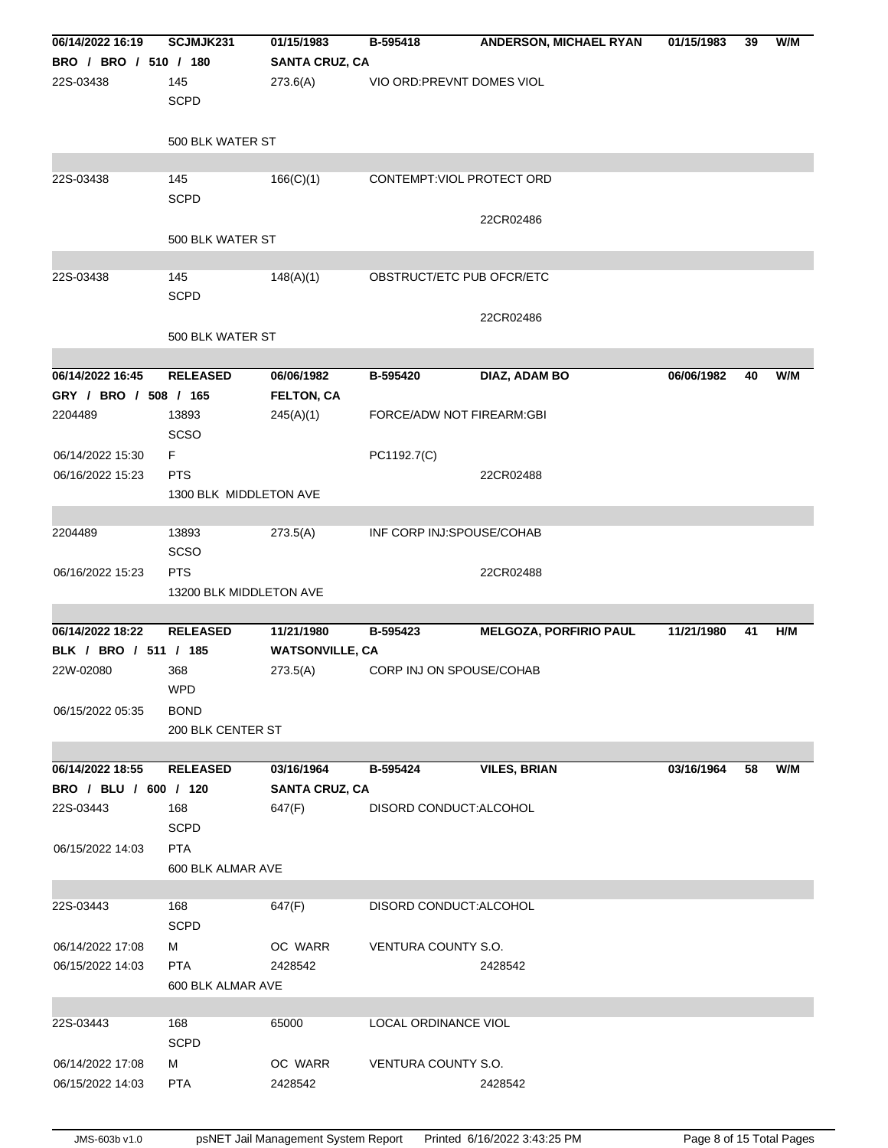| 06/14/2022 16:19      | SCJMJK231               | 01/15/1983             | B-595418                   | ANDERSON, MICHAEL RYAN        | 01/15/1983 | 39 | W/M |
|-----------------------|-------------------------|------------------------|----------------------------|-------------------------------|------------|----|-----|
| BRO / BRO / 510 / 180 |                         | <b>SANTA CRUZ, CA</b>  |                            |                               |            |    |     |
| 22S-03438             | 145                     | 273.6(A)               | VIO ORD: PREVNT DOMES VIOL |                               |            |    |     |
|                       | <b>SCPD</b>             |                        |                            |                               |            |    |     |
|                       |                         |                        |                            |                               |            |    |     |
|                       | 500 BLK WATER ST        |                        |                            |                               |            |    |     |
|                       |                         |                        |                            |                               |            |    |     |
| 22S-03438             | 145                     | 166(C)(1)              | CONTEMPT: VIOL PROTECT ORD |                               |            |    |     |
|                       | <b>SCPD</b>             |                        |                            |                               |            |    |     |
|                       |                         |                        |                            | 22CR02486                     |            |    |     |
|                       | 500 BLK WATER ST        |                        |                            |                               |            |    |     |
|                       |                         |                        |                            |                               |            |    |     |
| 22S-03438             | 145                     | 148(A)(1)              | OBSTRUCT/ETC PUB OFCR/ETC  |                               |            |    |     |
|                       | <b>SCPD</b>             |                        |                            |                               |            |    |     |
|                       |                         |                        |                            | 22CR02486                     |            |    |     |
|                       | 500 BLK WATER ST        |                        |                            |                               |            |    |     |
|                       |                         |                        |                            |                               |            |    |     |
| 06/14/2022 16:45      | <b>RELEASED</b>         | 06/06/1982             | B-595420                   | DIAZ, ADAM BO                 | 06/06/1982 | 40 | W/M |
| GRY / BRO / 508 / 165 |                         | <b>FELTON, CA</b>      |                            |                               |            |    |     |
| 2204489               | 13893                   | 245(A)(1)              | FORCE/ADW NOT FIREARM:GBI  |                               |            |    |     |
|                       | <b>SCSO</b>             |                        |                            |                               |            |    |     |
|                       |                         |                        |                            |                               |            |    |     |
| 06/14/2022 15:30      | F                       |                        | PC1192.7(C)                |                               |            |    |     |
| 06/16/2022 15:23      | <b>PTS</b>              |                        |                            | 22CR02488                     |            |    |     |
|                       | 1300 BLK MIDDLETON AVE  |                        |                            |                               |            |    |     |
|                       |                         |                        |                            |                               |            |    |     |
| 2204489               | 13893                   | 273.5(A)               | INF CORP INJ:SPOUSE/COHAB  |                               |            |    |     |
|                       | <b>SCSO</b>             |                        |                            |                               |            |    |     |
| 06/16/2022 15:23      | <b>PTS</b>              |                        |                            | 22CR02488                     |            |    |     |
|                       | 13200 BLK MIDDLETON AVE |                        |                            |                               |            |    |     |
|                       |                         |                        |                            |                               |            |    |     |
| 06/14/2022 18:22      | <b>RELEASED</b>         | 11/21/1980             | B-595423                   | <b>MELGOZA, PORFIRIO PAUL</b> | 11/21/1980 | 41 | H/M |
| BLK / BRO / 511 / 185 |                         | <b>WATSONVILLE, CA</b> |                            |                               |            |    |     |
| 22W-02080             | 368                     | 273.5(A)               | CORP INJ ON SPOUSE/COHAB   |                               |            |    |     |
|                       | WPD                     |                        |                            |                               |            |    |     |
| 06/15/2022 05:35      | <b>BOND</b>             |                        |                            |                               |            |    |     |
|                       | 200 BLK CENTER ST       |                        |                            |                               |            |    |     |
|                       |                         |                        |                            |                               |            |    |     |
| 06/14/2022 18:55      | <b>RELEASED</b>         | 03/16/1964             | B-595424                   | <b>VILES, BRIAN</b>           | 03/16/1964 | 58 | W/M |
| BRO / BLU / 600 / 120 |                         | <b>SANTA CRUZ, CA</b>  |                            |                               |            |    |     |
| 22S-03443             | 168                     | 647(F)                 | DISORD CONDUCT: ALCOHOL    |                               |            |    |     |
|                       | <b>SCPD</b>             |                        |                            |                               |            |    |     |
| 06/15/2022 14:03      | <b>PTA</b>              |                        |                            |                               |            |    |     |
|                       | 600 BLK ALMAR AVE       |                        |                            |                               |            |    |     |
|                       |                         |                        |                            |                               |            |    |     |
| 22S-03443             | 168                     | 647(F)                 | DISORD CONDUCT: ALCOHOL    |                               |            |    |     |
|                       | <b>SCPD</b>             |                        |                            |                               |            |    |     |
| 06/14/2022 17:08      | М                       | OC WARR                | VENTURA COUNTY S.O.        |                               |            |    |     |
| 06/15/2022 14:03      | <b>PTA</b>              | 2428542                |                            | 2428542                       |            |    |     |
|                       | 600 BLK ALMAR AVE       |                        |                            |                               |            |    |     |
|                       |                         |                        |                            |                               |            |    |     |
| 22S-03443             | 168                     | 65000                  | LOCAL ORDINANCE VIOL       |                               |            |    |     |
|                       | <b>SCPD</b>             |                        |                            |                               |            |    |     |
| 06/14/2022 17:08      | м                       | OC WARR                | VENTURA COUNTY S.O.        |                               |            |    |     |
| 06/15/2022 14:03      | <b>PTA</b>              | 2428542                |                            | 2428542                       |            |    |     |
|                       |                         |                        |                            |                               |            |    |     |
|                       |                         |                        |                            |                               |            |    |     |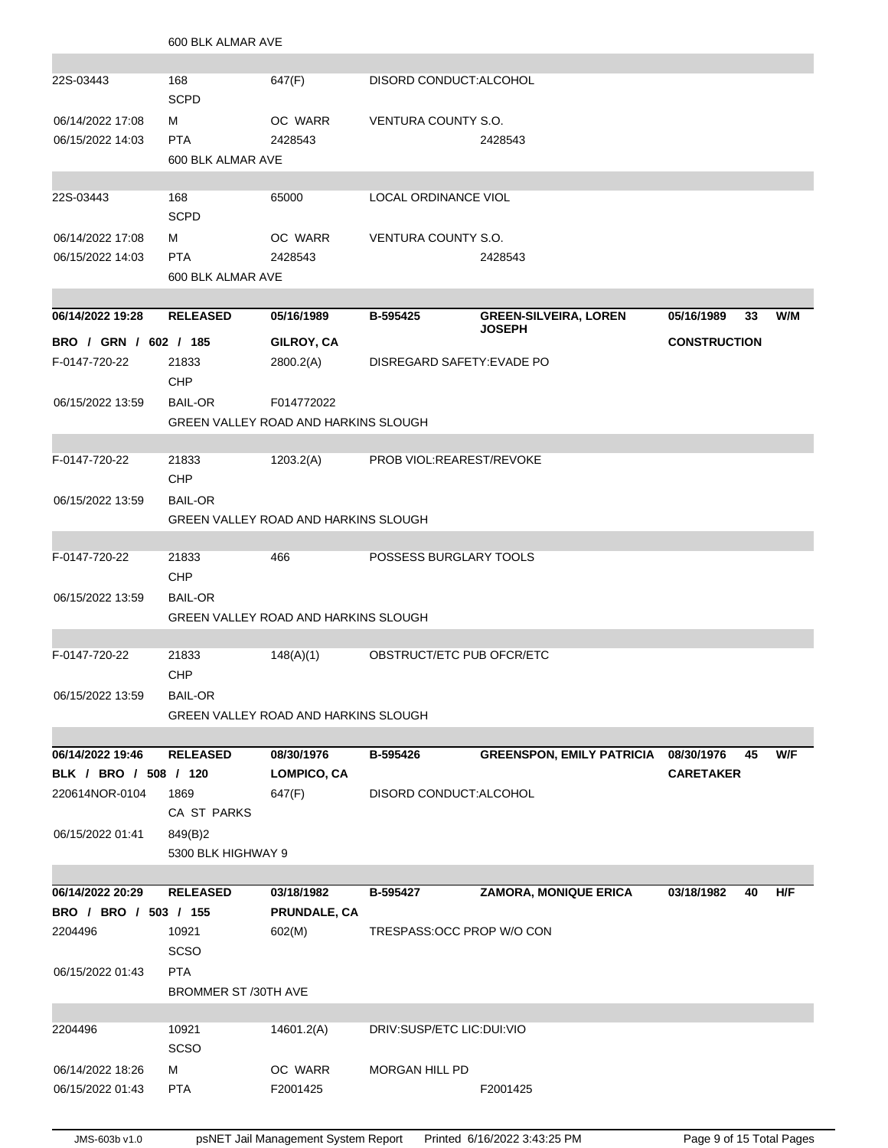|                       | 600 BLK ALMAR AVE                           |                                             |                            |                                               |                     |    |     |  |
|-----------------------|---------------------------------------------|---------------------------------------------|----------------------------|-----------------------------------------------|---------------------|----|-----|--|
|                       |                                             |                                             |                            |                                               |                     |    |     |  |
| 22S-03443             | 168<br><b>SCPD</b>                          | 647(F)                                      | DISORD CONDUCT: ALCOHOL    |                                               |                     |    |     |  |
| 06/14/2022 17:08      | м                                           | OC WARR                                     | VENTURA COUNTY S.O.        |                                               |                     |    |     |  |
| 06/15/2022 14:03      | <b>PTA</b>                                  | 2428543                                     |                            | 2428543                                       |                     |    |     |  |
|                       | 600 BLK ALMAR AVE                           |                                             |                            |                                               |                     |    |     |  |
| 22S-03443             | 168<br><b>SCPD</b>                          | 65000                                       | LOCAL ORDINANCE VIOL       |                                               |                     |    |     |  |
| 06/14/2022 17:08      | м                                           | OC WARR                                     | VENTURA COUNTY S.O.        |                                               |                     |    |     |  |
| 06/15/2022 14:03      | <b>PTA</b>                                  | 2428543                                     |                            | 2428543                                       |                     |    |     |  |
|                       | 600 BLK ALMAR AVE                           |                                             |                            |                                               |                     |    |     |  |
|                       |                                             |                                             |                            |                                               |                     |    |     |  |
| 06/14/2022 19:28      | <b>RELEASED</b>                             | 05/16/1989                                  | B-595425                   | <b>GREEN-SILVEIRA, LOREN</b><br><b>JOSEPH</b> | 05/16/1989          | 33 | W/M |  |
| BRO / GRN / 602 / 185 |                                             | GILROY, CA                                  |                            |                                               | <b>CONSTRUCTION</b> |    |     |  |
| F-0147-720-22         | 21833<br><b>CHP</b>                         | 2800.2(A)                                   | DISREGARD SAFETY: EVADE PO |                                               |                     |    |     |  |
| 06/15/2022 13:59      | <b>BAIL-OR</b>                              | F014772022                                  |                            |                                               |                     |    |     |  |
|                       |                                             | <b>GREEN VALLEY ROAD AND HARKINS SLOUGH</b> |                            |                                               |                     |    |     |  |
|                       |                                             |                                             |                            |                                               |                     |    |     |  |
| F-0147-720-22         | 21833<br><b>CHP</b>                         | 1203.2(A)                                   | PROB VIOL: REAREST/REVOKE  |                                               |                     |    |     |  |
| 06/15/2022 13:59      | <b>BAIL-OR</b>                              |                                             |                            |                                               |                     |    |     |  |
|                       | <b>GREEN VALLEY ROAD AND HARKINS SLOUGH</b> |                                             |                            |                                               |                     |    |     |  |
| F-0147-720-22         | 21833                                       | 466                                         | POSSESS BURGLARY TOOLS     |                                               |                     |    |     |  |
|                       | <b>CHP</b>                                  |                                             |                            |                                               |                     |    |     |  |
| 06/15/2022 13:59      | <b>BAIL-OR</b>                              |                                             |                            |                                               |                     |    |     |  |
|                       |                                             | GREEN VALLEY ROAD AND HARKINS SLOUGH        |                            |                                               |                     |    |     |  |
|                       |                                             |                                             |                            |                                               |                     |    |     |  |
| F-0147-720-22         | 21833<br><b>CHP</b>                         | 148(A)(1)                                   | OBSTRUCT/ETC PUB OFCR/ETC  |                                               |                     |    |     |  |
| 06/15/2022 13:59      | <b>BAIL-OR</b>                              |                                             |                            |                                               |                     |    |     |  |
|                       |                                             | GREEN VALLEY ROAD AND HARKINS SLOUGH        |                            |                                               |                     |    |     |  |
| 06/14/2022 19:46      | <b>RELEASED</b>                             | 08/30/1976                                  | B-595426                   | GREENSPON, EMILY PATRICIA 08/30/1976          |                     | 45 | W/F |  |
| BLK / BRO / 508 / 120 |                                             | <b>LOMPICO, CA</b>                          |                            |                                               | <b>CARETAKER</b>    |    |     |  |
| 220614NOR-0104        | 1869                                        | 647(F)                                      | DISORD CONDUCT: ALCOHOL    |                                               |                     |    |     |  |
|                       | CA ST PARKS                                 |                                             |                            |                                               |                     |    |     |  |
| 06/15/2022 01:41      | 849(B)2                                     |                                             |                            |                                               |                     |    |     |  |
|                       | 5300 BLK HIGHWAY 9                          |                                             |                            |                                               |                     |    |     |  |
|                       |                                             |                                             |                            |                                               |                     |    |     |  |
| 06/14/2022 20:29      | <b>RELEASED</b>                             | 03/18/1982                                  | B-595427                   | <b>ZAMORA, MONIQUE ERICA</b>                  | 03/18/1982          | 40 | H/F |  |
| BRO / BRO / 503 / 155 |                                             | PRUNDALE, CA                                |                            |                                               |                     |    |     |  |
| 2204496               | 10921                                       | 602(M)                                      | TRESPASS: OCC PROP W/O CON |                                               |                     |    |     |  |
|                       | <b>SCSO</b>                                 |                                             |                            |                                               |                     |    |     |  |
| 06/15/2022 01:43      | <b>PTA</b>                                  |                                             |                            |                                               |                     |    |     |  |
|                       | <b>BROMMER ST /30TH AVE</b>                 |                                             |                            |                                               |                     |    |     |  |
|                       |                                             |                                             |                            |                                               |                     |    |     |  |
| 2204496               | 10921<br>SCSO                               | 14601.2(A)                                  | DRIV:SUSP/ETC LIC:DUI:VIO  |                                               |                     |    |     |  |
| 06/14/2022 18:26      | м                                           | OC WARR                                     | <b>MORGAN HILL PD</b>      |                                               |                     |    |     |  |
| 06/15/2022 01:43      | <b>PTA</b>                                  | F2001425                                    |                            | F2001425                                      |                     |    |     |  |
|                       |                                             |                                             |                            |                                               |                     |    |     |  |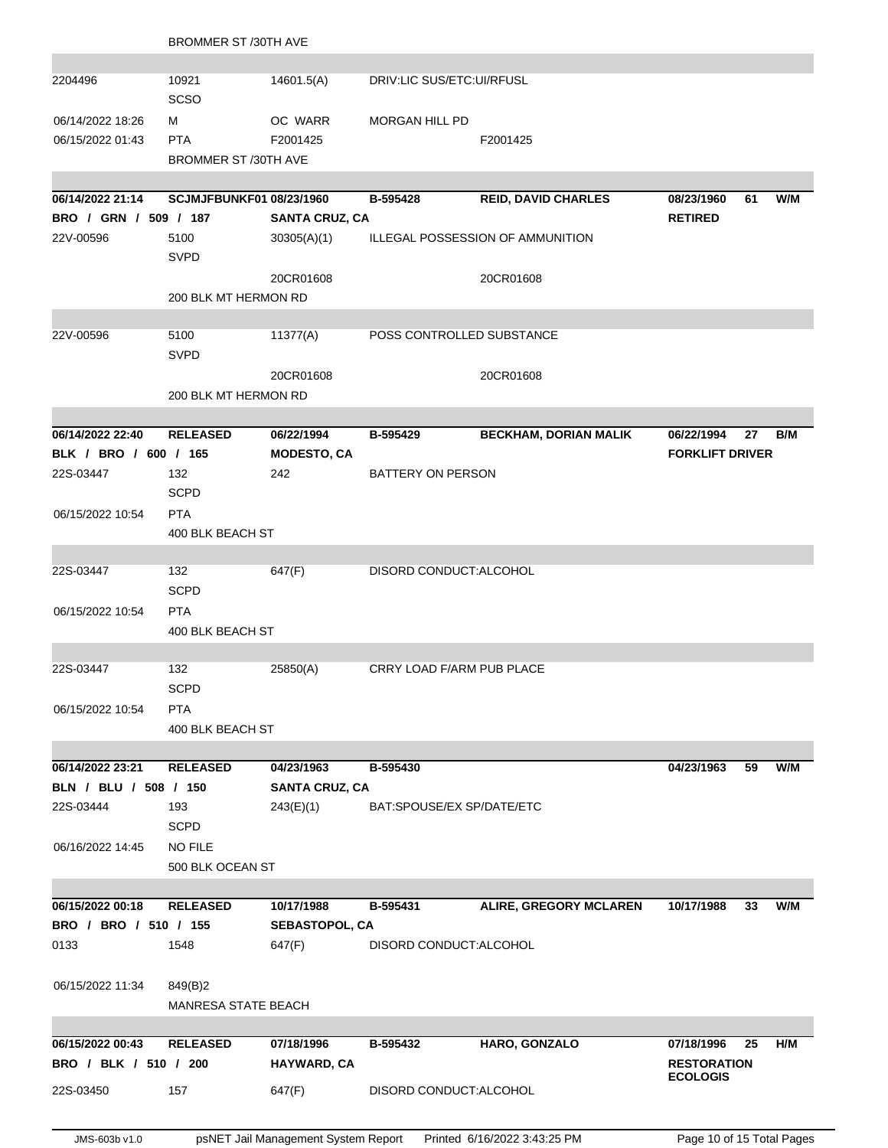|                               | <b>BROMMER ST /30TH AVE</b>     |                          |                           |                                  |                                       |    |     |
|-------------------------------|---------------------------------|--------------------------|---------------------------|----------------------------------|---------------------------------------|----|-----|
| 2204496                       | 10921<br><b>SCSO</b>            | 14601.5(A)               | DRIV:LIC SUS/ETC:UI/RFUSL |                                  |                                       |    |     |
| 06/14/2022 18:26              | м                               | OC WARR                  | <b>MORGAN HILL PD</b>     |                                  |                                       |    |     |
| 06/15/2022 01:43              | <b>PTA</b>                      | F2001425                 |                           | F2001425                         |                                       |    |     |
|                               | <b>BROMMER ST /30TH AVE</b>     |                          |                           |                                  |                                       |    |     |
| 06/14/2022 21:14              | <b>SCJMJFBUNKF01 08/23/1960</b> |                          | B-595428                  | <b>REID, DAVID CHARLES</b>       | 08/23/1960                            | 61 | W/M |
| BRO / GRN / 509 / 187         |                                 | <b>SANTA CRUZ, CA</b>    |                           |                                  | <b>RETIRED</b>                        |    |     |
| 22V-00596                     | 5100                            | 30305(A)(1)              |                           | ILLEGAL POSSESSION OF AMMUNITION |                                       |    |     |
|                               | <b>SVPD</b>                     |                          |                           |                                  |                                       |    |     |
|                               |                                 | 20CR01608                |                           | 20CR01608                        |                                       |    |     |
|                               | 200 BLK MT HERMON RD            |                          |                           |                                  |                                       |    |     |
|                               |                                 |                          | POSS CONTROLLED SUBSTANCE |                                  |                                       |    |     |
| 22V-00596                     | 5100<br><b>SVPD</b>             | 11377(A)                 |                           |                                  |                                       |    |     |
|                               |                                 | 20CR01608                |                           | 20CR01608                        |                                       |    |     |
|                               | 200 BLK MT HERMON RD            |                          |                           |                                  |                                       |    |     |
| 06/14/2022 22:40              | <b>RELEASED</b>                 | 06/22/1994               | B-595429                  | <b>BECKHAM, DORIAN MALIK</b>     | 06/22/1994                            | 27 | B/M |
| BLK / BRO / 600 / 165         |                                 | <b>MODESTO, CA</b>       |                           |                                  | <b>FORKLIFT DRIVER</b>                |    |     |
| 22S-03447                     | 132                             | 242                      | BATTERY ON PERSON         |                                  |                                       |    |     |
|                               | <b>SCPD</b>                     |                          |                           |                                  |                                       |    |     |
| 06/15/2022 10:54              | <b>PTA</b>                      |                          |                           |                                  |                                       |    |     |
|                               | 400 BLK BEACH ST                |                          |                           |                                  |                                       |    |     |
| 22S-03447                     | 132                             | 647(F)                   | DISORD CONDUCT: ALCOHOL   |                                  |                                       |    |     |
|                               | <b>SCPD</b>                     |                          |                           |                                  |                                       |    |     |
| 06/15/2022 10:54              | <b>PTA</b>                      |                          |                           |                                  |                                       |    |     |
|                               | 400 BLK BEACH ST                |                          |                           |                                  |                                       |    |     |
| 22S-03447                     | 132                             | 25850(A)                 | CRRY LOAD F/ARM PUB PLACE |                                  |                                       |    |     |
|                               | <b>SCPD</b>                     |                          |                           |                                  |                                       |    |     |
| 06/15/2022 10:54              | <b>PTA</b>                      |                          |                           |                                  |                                       |    |     |
|                               | 400 BLK BEACH ST                |                          |                           |                                  |                                       |    |     |
| 06/14/2022 23:21              | <b>RELEASED</b>                 | 04/23/1963               | B-595430                  |                                  | 04/23/1963                            | 59 | W/M |
| BLN / BLU / 508 / 150         |                                 | <b>SANTA CRUZ, CA</b>    |                           |                                  |                                       |    |     |
| 22S-03444                     | 193                             | 243(E)(1)                | BAT:SPOUSE/EX SP/DATE/ETC |                                  |                                       |    |     |
|                               | <b>SCPD</b>                     |                          |                           |                                  |                                       |    |     |
| 06/16/2022 14:45              | <b>NO FILE</b>                  |                          |                           |                                  |                                       |    |     |
|                               | 500 BLK OCEAN ST                |                          |                           |                                  |                                       |    |     |
|                               |                                 |                          |                           |                                  |                                       |    |     |
| 06/15/2022 00:18              | <b>RELEASED</b>                 | 10/17/1988               | B-595431                  | ALIRE, GREGORY MCLAREN           | 10/17/1988                            | 33 | W/M |
| BRO / BRO / 510 / 155<br>0133 | 1548                            | SEBASTOPOL, CA<br>647(F) | DISORD CONDUCT: ALCOHOL   |                                  |                                       |    |     |
|                               |                                 |                          |                           |                                  |                                       |    |     |
| 06/15/2022 11:34              | 849(B)2                         |                          |                           |                                  |                                       |    |     |
|                               | <b>MANRESA STATE BEACH</b>      |                          |                           |                                  |                                       |    |     |
|                               |                                 |                          |                           |                                  |                                       |    |     |
| 06/15/2022 00:43              | <b>RELEASED</b>                 | 07/18/1996               | B-595432                  | HARO, GONZALO                    | 07/18/1996                            | 25 | H/M |
| BRO / BLK / 510 / 200         |                                 | HAYWARD, CA              |                           |                                  | <b>RESTORATION</b><br><b>ECOLOGIS</b> |    |     |
| 22S-03450                     | 157                             | 647(F)                   | DISORD CONDUCT: ALCOHOL   |                                  |                                       |    |     |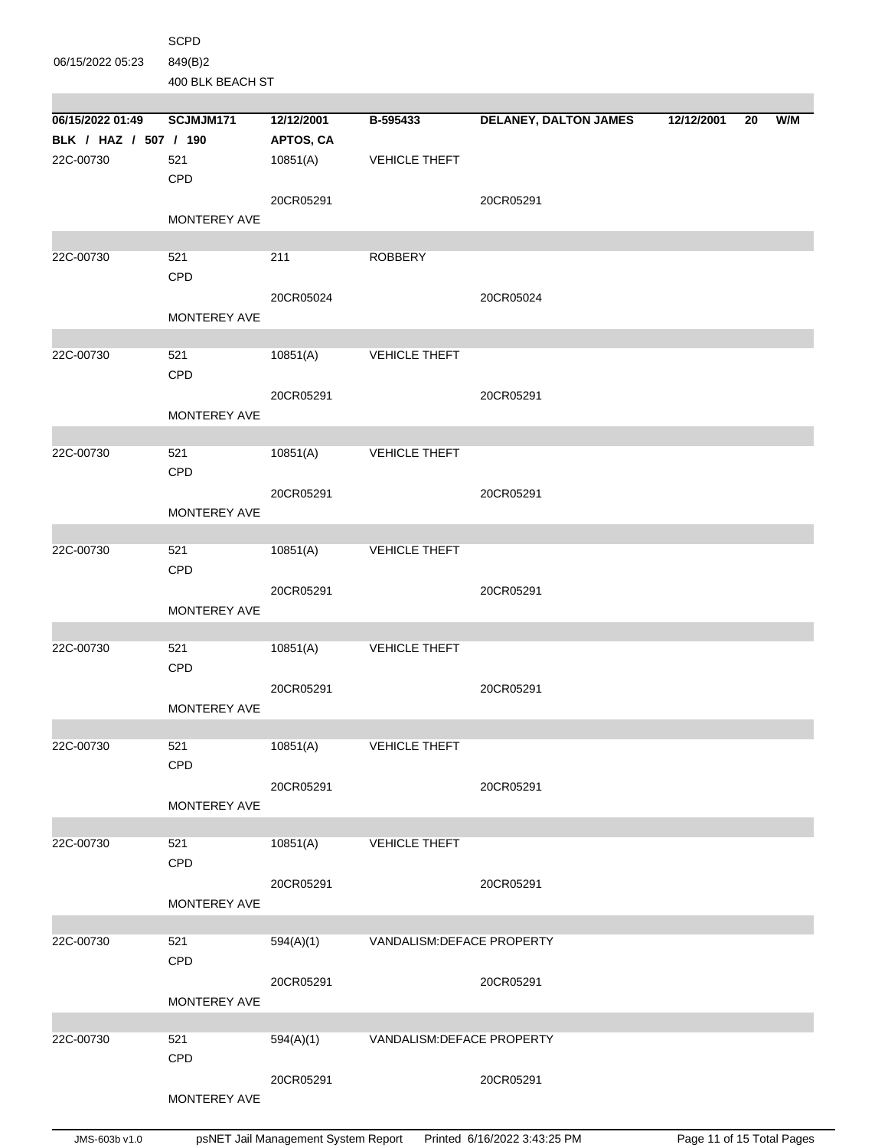|                       | <b>SCPD</b>      |            |                            |                              |            |    |     |
|-----------------------|------------------|------------|----------------------------|------------------------------|------------|----|-----|
| 06/15/2022 05:23      | 849(B)2          |            |                            |                              |            |    |     |
|                       | 400 BLK BEACH ST |            |                            |                              |            |    |     |
|                       |                  |            |                            |                              |            |    |     |
| 06/15/2022 01:49      | SCJMJM171        | 12/12/2001 | B-595433                   | <b>DELANEY, DALTON JAMES</b> | 12/12/2001 | 20 | W/M |
| BLK / HAZ / 507 / 190 | 521              | APTOS, CA  | <b>VEHICLE THEFT</b>       |                              |            |    |     |
| 22C-00730             | CPD              | 10851(A)   |                            |                              |            |    |     |
|                       |                  | 20CR05291  |                            | 20CR05291                    |            |    |     |
|                       | MONTEREY AVE     |            |                            |                              |            |    |     |
|                       |                  |            |                            |                              |            |    |     |
| 22C-00730             | 521              | 211        | <b>ROBBERY</b>             |                              |            |    |     |
|                       | CPD              |            |                            |                              |            |    |     |
|                       |                  | 20CR05024  |                            | 20CR05024                    |            |    |     |
|                       | MONTEREY AVE     |            |                            |                              |            |    |     |
|                       |                  |            |                            |                              |            |    |     |
| 22C-00730             | 521<br>CPD       | 10851(A)   | <b>VEHICLE THEFT</b>       |                              |            |    |     |
|                       |                  | 20CR05291  |                            | 20CR05291                    |            |    |     |
|                       | MONTEREY AVE     |            |                            |                              |            |    |     |
|                       |                  |            |                            |                              |            |    |     |
| 22C-00730             | 521              | 10851(A)   | <b>VEHICLE THEFT</b>       |                              |            |    |     |
|                       | CPD              |            |                            |                              |            |    |     |
|                       |                  | 20CR05291  |                            | 20CR05291                    |            |    |     |
|                       | MONTEREY AVE     |            |                            |                              |            |    |     |
| 22C-00730             |                  |            |                            |                              |            |    |     |
|                       | 521<br>CPD       | 10851(A)   | <b>VEHICLE THEFT</b>       |                              |            |    |     |
|                       |                  | 20CR05291  |                            | 20CR05291                    |            |    |     |
|                       | MONTEREY AVE     |            |                            |                              |            |    |     |
|                       |                  |            |                            |                              |            |    |     |
| 22C-00730             | 521              | 10851(A)   | <b>VEHICLE THEFT</b>       |                              |            |    |     |
|                       | CPD              |            |                            |                              |            |    |     |
|                       |                  | 20CR05291  |                            | 20CR05291                    |            |    |     |
|                       | MONTEREY AVE     |            |                            |                              |            |    |     |
| 22C-00730             | 521              | 10851(A)   | <b>VEHICLE THEFT</b>       |                              |            |    |     |
|                       | CPD              |            |                            |                              |            |    |     |
|                       |                  | 20CR05291  |                            | 20CR05291                    |            |    |     |
|                       | MONTEREY AVE     |            |                            |                              |            |    |     |
|                       |                  |            |                            |                              |            |    |     |
| 22C-00730             | 521              | 10851(A)   | <b>VEHICLE THEFT</b>       |                              |            |    |     |
|                       | <b>CPD</b>       |            |                            |                              |            |    |     |
|                       |                  | 20CR05291  |                            | 20CR05291                    |            |    |     |
|                       | MONTEREY AVE     |            |                            |                              |            |    |     |
| 22C-00730             | 521              | 594(A)(1)  | VANDALISM: DEFACE PROPERTY |                              |            |    |     |
|                       | CPD              |            |                            |                              |            |    |     |
|                       |                  | 20CR05291  |                            | 20CR05291                    |            |    |     |
|                       | MONTEREY AVE     |            |                            |                              |            |    |     |
|                       |                  |            |                            |                              |            |    |     |
| 22C-00730             | 521              | 594(A)(1)  | VANDALISM: DEFACE PROPERTY |                              |            |    |     |
|                       | <b>CPD</b>       |            |                            |                              |            |    |     |
|                       | MONTEREY AVE     | 20CR05291  |                            | 20CR05291                    |            |    |     |
|                       |                  |            |                            |                              |            |    |     |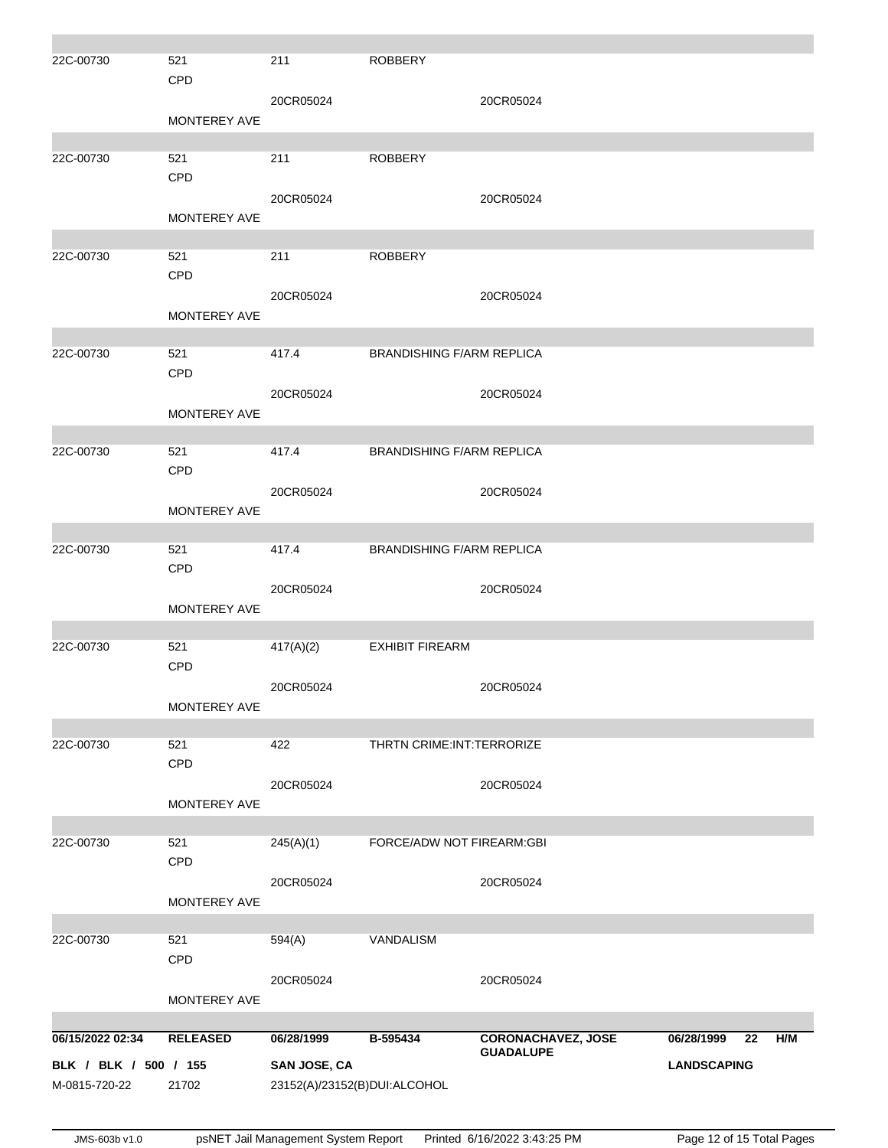| 22C-00730             | 521<br>CPD          | 211                          | <b>ROBBERY</b>                   |                           |                    |     |
|-----------------------|---------------------|------------------------------|----------------------------------|---------------------------|--------------------|-----|
|                       | MONTEREY AVE        | 20CR05024                    |                                  | 20CR05024                 |                    |     |
| 22C-00730             | 521<br>CPD          | 211                          | <b>ROBBERY</b>                   |                           |                    |     |
|                       | MONTEREY AVE        | 20CR05024                    |                                  | 20CR05024                 |                    |     |
| 22C-00730             | 521<br>CPD          | 211                          | <b>ROBBERY</b>                   |                           |                    |     |
|                       | <b>MONTEREY AVE</b> | 20CR05024                    |                                  | 20CR05024                 |                    |     |
| 22C-00730             | 521<br>CPD          | 417.4                        | <b>BRANDISHING F/ARM REPLICA</b> |                           |                    |     |
|                       | <b>MONTEREY AVE</b> | 20CR05024                    |                                  | 20CR05024                 |                    |     |
| 22C-00730             | 521<br><b>CPD</b>   | 417.4                        | <b>BRANDISHING F/ARM REPLICA</b> |                           |                    |     |
|                       | MONTEREY AVE        | 20CR05024                    |                                  | 20CR05024                 |                    |     |
| 22C-00730             | 521<br>CPD          | 417.4                        | <b>BRANDISHING F/ARM REPLICA</b> |                           |                    |     |
|                       | MONTEREY AVE        | 20CR05024                    |                                  | 20CR05024                 |                    |     |
| 22C-00730             | 521<br>CPD          | 417(A)(2)                    | <b>EXHIBIT FIREARM</b>           |                           |                    |     |
|                       | MONTEREY AVE        | 20CR05024                    |                                  | 20CR05024                 |                    |     |
| 22C-00730             | 521<br>CPD          | 422                          | THRTN CRIME: INT: TERRORIZE      |                           |                    |     |
|                       | MONTEREY AVE        | 20CR05024                    |                                  | 20CR05024                 |                    |     |
| 22C-00730             | 521<br>CPD          | 245(A)(1)                    | FORCE/ADW NOT FIREARM:GBI        |                           |                    |     |
|                       | MONTEREY AVE        | 20CR05024                    |                                  | 20CR05024                 |                    |     |
| 22C-00730             | 521<br>CPD          | 594(A)                       | VANDALISM                        |                           |                    |     |
|                       | MONTEREY AVE        | 20CR05024                    |                                  | 20CR05024                 |                    |     |
| 06/15/2022 02:34      | <b>RELEASED</b>     | 06/28/1999                   | B-595434                         | <b>CORONACHAVEZ, JOSE</b> | 06/28/1999<br>22   | H/M |
| BLK / BLK / 500 / 155 |                     | SAN JOSE, CA                 |                                  | <b>GUADALUPE</b>          | <b>LANDSCAPING</b> |     |
| M-0815-720-22         | 21702               | 23152(A)/23152(B)DUI:ALCOHOL |                                  |                           |                    |     |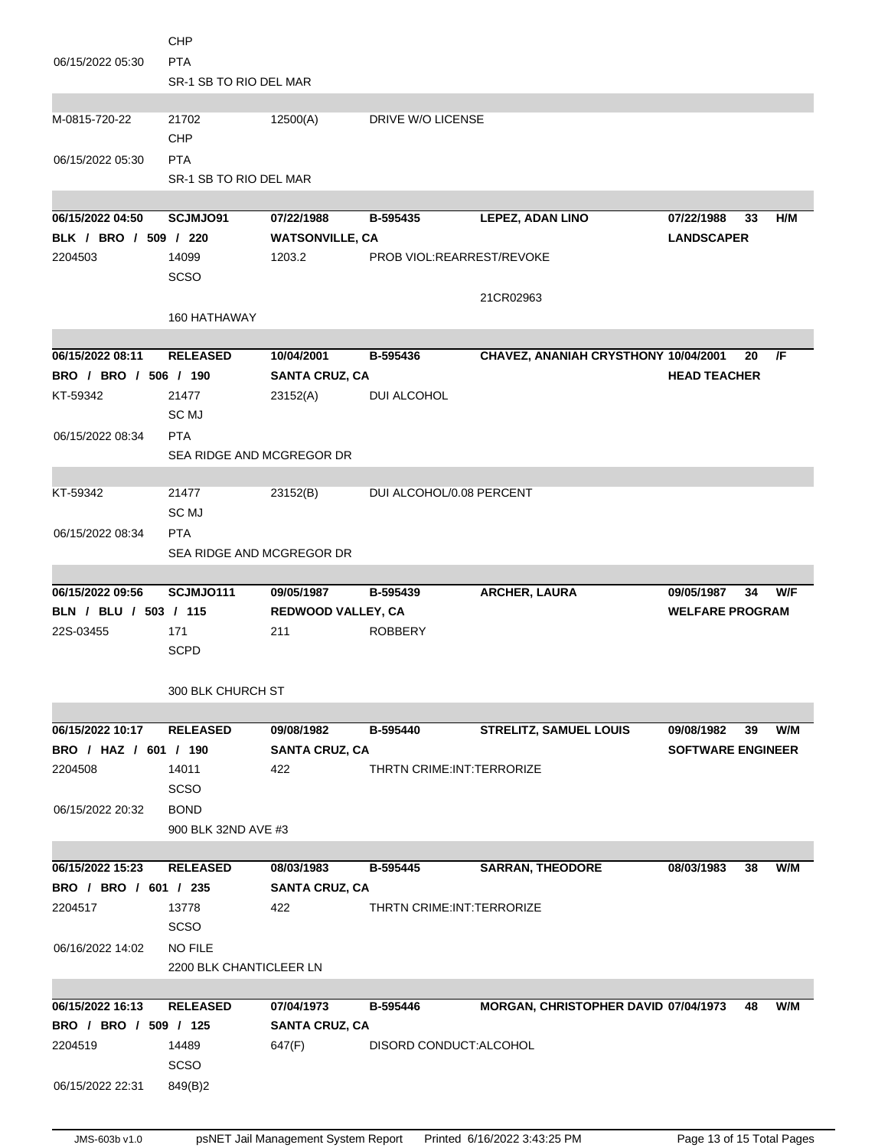|                       | <b>CHP</b>                |                        |                             |                                      |                          |    |     |
|-----------------------|---------------------------|------------------------|-----------------------------|--------------------------------------|--------------------------|----|-----|
| 06/15/2022 05:30      | <b>PTA</b>                |                        |                             |                                      |                          |    |     |
|                       | SR-1 SB TO RIO DEL MAR    |                        |                             |                                      |                          |    |     |
|                       |                           |                        |                             |                                      |                          |    |     |
| M-0815-720-22         | 21702                     | 12500(A)               | DRIVE W/O LICENSE           |                                      |                          |    |     |
|                       | CHP                       |                        |                             |                                      |                          |    |     |
| 06/15/2022 05:30      | <b>PTA</b>                |                        |                             |                                      |                          |    |     |
|                       | SR-1 SB TO RIO DEL MAR    |                        |                             |                                      |                          |    |     |
|                       |                           |                        |                             |                                      |                          |    |     |
| 06/15/2022 04:50      | SCJMJO91                  | 07/22/1988             | B-595435                    | <b>LEPEZ, ADAN LINO</b>              | 07/22/1988               | 33 | H/M |
| BLK / BRO / 509 / 220 |                           | <b>WATSONVILLE, CA</b> |                             |                                      | <b>LANDSCAPER</b>        |    |     |
| 2204503               | 14099                     | 1203.2                 | PROB VIOL:REARREST/REVOKE   |                                      |                          |    |     |
|                       | <b>SCSO</b>               |                        |                             |                                      |                          |    |     |
|                       |                           |                        |                             | 21CR02963                            |                          |    |     |
|                       | 160 HATHAWAY              |                        |                             |                                      |                          |    |     |
|                       |                           |                        |                             |                                      |                          |    |     |
| 06/15/2022 08:11      | <b>RELEASED</b>           | 10/04/2001             | B-595436                    | CHAVEZ, ANANIAH CRYSTHONY 10/04/2001 |                          | 20 | /F  |
| BRO / BRO / 506 / 190 |                           |                        |                             |                                      | <b>HEAD TEACHER</b>      |    |     |
|                       |                           | <b>SANTA CRUZ, CA</b>  |                             |                                      |                          |    |     |
| KT-59342              | 21477                     | 23152(A)               | <b>DUI ALCOHOL</b>          |                                      |                          |    |     |
|                       | SC <sub>MJ</sub>          |                        |                             |                                      |                          |    |     |
| 06/15/2022 08:34      | <b>PTA</b>                |                        |                             |                                      |                          |    |     |
|                       | SEA RIDGE AND MCGREGOR DR |                        |                             |                                      |                          |    |     |
|                       |                           |                        |                             |                                      |                          |    |     |
| KT-59342              | 21477                     | 23152(B)               | DUI ALCOHOL/0.08 PERCENT    |                                      |                          |    |     |
|                       | SC MJ                     |                        |                             |                                      |                          |    |     |
| 06/15/2022 08:34      | <b>PTA</b>                |                        |                             |                                      |                          |    |     |
|                       | SEA RIDGE AND MCGREGOR DR |                        |                             |                                      |                          |    |     |
|                       |                           |                        |                             |                                      |                          |    |     |
|                       |                           |                        |                             |                                      |                          |    |     |
| 06/15/2022 09:56      | SCJMJO111                 | 09/05/1987             | B-595439                    | ARCHER, LAURA                        | 09/05/1987               | 34 | W/F |
| BLN / BLU / 503 / 115 |                           | REDWOOD VALLEY, CA     |                             |                                      | <b>WELFARE PROGRAM</b>   |    |     |
| 22S-03455             | 171                       | 211                    | <b>ROBBERY</b>              |                                      |                          |    |     |
|                       | <b>SCPD</b>               |                        |                             |                                      |                          |    |     |
|                       |                           |                        |                             |                                      |                          |    |     |
|                       | 300 BLK CHURCH ST         |                        |                             |                                      |                          |    |     |
|                       |                           |                        |                             |                                      |                          |    |     |
| 06/15/2022 10:17      | <b>RELEASED</b>           | 09/08/1982             | B-595440                    | <b>STRELITZ, SAMUEL LOUIS</b>        | 09/08/1982               | 39 | W/M |
| BRO / HAZ / 601 / 190 |                           | <b>SANTA CRUZ, CA</b>  |                             |                                      | <b>SOFTWARE ENGINEER</b> |    |     |
| 2204508               | 14011                     | 422                    | THRTN CRIME: INT: TERRORIZE |                                      |                          |    |     |
|                       | <b>SCSO</b>               |                        |                             |                                      |                          |    |     |
| 06/15/2022 20:32      | <b>BOND</b>               |                        |                             |                                      |                          |    |     |
|                       | 900 BLK 32ND AVE #3       |                        |                             |                                      |                          |    |     |
|                       |                           |                        |                             |                                      |                          |    |     |
| 06/15/2022 15:23      | <b>RELEASED</b>           | 08/03/1983             | B-595445                    | <b>SARRAN, THEODORE</b>              | 08/03/1983               | 38 | W/M |
| BRO / BRO / 601 / 235 |                           | <b>SANTA CRUZ, CA</b>  |                             |                                      |                          |    |     |
| 2204517               | 13778                     | 422                    | THRTN CRIME: INT: TERRORIZE |                                      |                          |    |     |
|                       | <b>SCSO</b>               |                        |                             |                                      |                          |    |     |
| 06/16/2022 14:02      | NO FILE                   |                        |                             |                                      |                          |    |     |
|                       | 2200 BLK CHANTICLEER LN   |                        |                             |                                      |                          |    |     |
|                       |                           |                        |                             |                                      |                          |    |     |
| 06/15/2022 16:13      | <b>RELEASED</b>           | 07/04/1973             | B-595446                    | MORGAN, CHRISTOPHER DAVID 07/04/1973 |                          | 48 | W/M |
| BRO / BRO / 509 / 125 |                           | <b>SANTA CRUZ, CA</b>  |                             |                                      |                          |    |     |
| 2204519               | 14489                     | 647(F)                 | DISORD CONDUCT: ALCOHOL     |                                      |                          |    |     |
|                       | <b>SCSO</b>               |                        |                             |                                      |                          |    |     |
|                       |                           |                        |                             |                                      |                          |    |     |
| 06/15/2022 22:31      | 849(B)2                   |                        |                             |                                      |                          |    |     |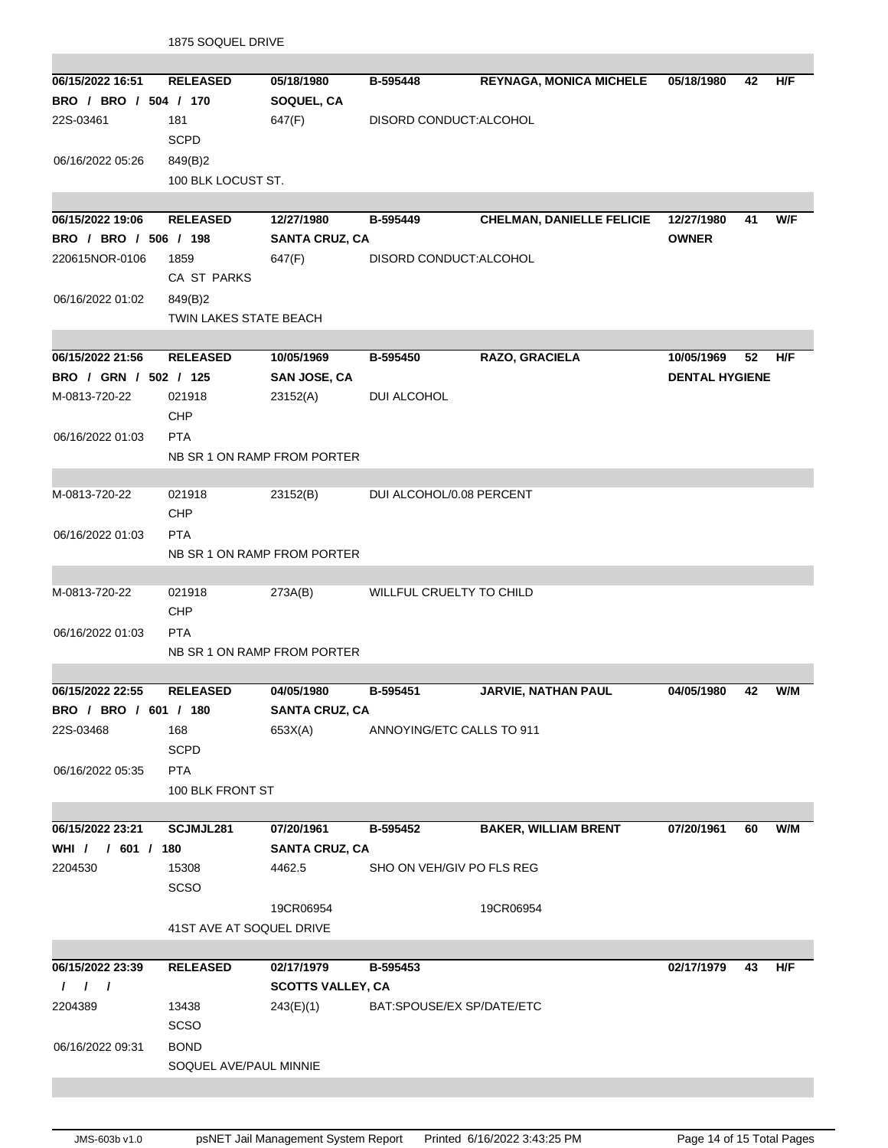|                       | 1875 SOQUEL DRIVE        |                             |                           |                                  |                       |    |     |  |
|-----------------------|--------------------------|-----------------------------|---------------------------|----------------------------------|-----------------------|----|-----|--|
|                       |                          |                             |                           |                                  |                       |    |     |  |
| 06/15/2022 16:51      | <b>RELEASED</b>          | 05/18/1980                  | B-595448                  | <b>REYNAGA, MONICA MICHELE</b>   | 05/18/1980            | 42 | H/F |  |
| BRO / BRO / 504 / 170 |                          | SOQUEL, CA                  |                           |                                  |                       |    |     |  |
| 22S-03461             | 181                      | 647(F)                      | DISORD CONDUCT: ALCOHOL   |                                  |                       |    |     |  |
|                       | <b>SCPD</b>              |                             |                           |                                  |                       |    |     |  |
| 06/16/2022 05:26      | 849(B)2                  |                             |                           |                                  |                       |    |     |  |
|                       | 100 BLK LOCUST ST.       |                             |                           |                                  |                       |    |     |  |
|                       |                          |                             |                           |                                  |                       |    |     |  |
| 06/15/2022 19:06      | <b>RELEASED</b>          | 12/27/1980                  | B-595449                  | <b>CHELMAN, DANIELLE FELICIE</b> | 12/27/1980            | 41 | W/F |  |
| BRO / BRO / 506 / 198 |                          | <b>SANTA CRUZ, CA</b>       |                           |                                  | <b>OWNER</b>          |    |     |  |
| 220615NOR-0106        | 1859                     | 647(F)                      | DISORD CONDUCT: ALCOHOL   |                                  |                       |    |     |  |
|                       | CA ST PARKS              |                             |                           |                                  |                       |    |     |  |
| 06/16/2022 01:02      | 849(B)2                  |                             |                           |                                  |                       |    |     |  |
|                       | TWIN LAKES STATE BEACH   |                             |                           |                                  |                       |    |     |  |
|                       |                          |                             |                           |                                  |                       |    |     |  |
| 06/15/2022 21:56      | <b>RELEASED</b>          | 10/05/1969                  | B-595450                  | RAZO, GRACIELA                   | 10/05/1969            | 52 | H/F |  |
| BRO / GRN / 502 / 125 |                          | <b>SAN JOSE, CA</b>         |                           |                                  | <b>DENTAL HYGIENE</b> |    |     |  |
| M-0813-720-22         | 021918                   | 23152(A)                    | DUI ALCOHOL               |                                  |                       |    |     |  |
|                       | <b>CHP</b>               |                             |                           |                                  |                       |    |     |  |
|                       | <b>PTA</b>               |                             |                           |                                  |                       |    |     |  |
| 06/16/2022 01:03      |                          |                             |                           |                                  |                       |    |     |  |
|                       |                          | NB SR 1 ON RAMP FROM PORTER |                           |                                  |                       |    |     |  |
| M-0813-720-22         | 021918                   | 23152(B)                    | DUI ALCOHOL/0.08 PERCENT  |                                  |                       |    |     |  |
|                       | <b>CHP</b>               |                             |                           |                                  |                       |    |     |  |
|                       |                          |                             |                           |                                  |                       |    |     |  |
| 06/16/2022 01:03      | <b>PTA</b>               |                             |                           |                                  |                       |    |     |  |
|                       |                          | NB SR 1 ON RAMP FROM PORTER |                           |                                  |                       |    |     |  |
| M-0813-720-22         | 021918                   | 273A(B)                     | WILLFUL CRUELTY TO CHILD  |                                  |                       |    |     |  |
|                       | <b>CHP</b>               |                             |                           |                                  |                       |    |     |  |
|                       |                          |                             |                           |                                  |                       |    |     |  |
| 06/16/2022 01:03      | <b>PTA</b>               |                             |                           |                                  |                       |    |     |  |
|                       |                          | NB SR 1 ON RAMP FROM PORTER |                           |                                  |                       |    |     |  |
| 06/15/2022 22:55      | <b>RELEASED</b>          | 04/05/1980                  | B-595451                  | JARVIE, NATHAN PAUL              | 04/05/1980            | 42 | W/M |  |
| BRO / BRO / 601 / 180 |                          | <b>SANTA CRUZ, CA</b>       |                           |                                  |                       |    |     |  |
| 22S-03468             | 168                      | 653X(A)                     | ANNOYING/ETC CALLS TO 911 |                                  |                       |    |     |  |
|                       | <b>SCPD</b>              |                             |                           |                                  |                       |    |     |  |
|                       |                          |                             |                           |                                  |                       |    |     |  |
| 06/16/2022 05:35      | <b>PTA</b>               |                             |                           |                                  |                       |    |     |  |
|                       | 100 BLK FRONT ST         |                             |                           |                                  |                       |    |     |  |
| 06/15/2022 23:21      | SCJMJL281                | 07/20/1961                  | B-595452                  | <b>BAKER, WILLIAM BRENT</b>      | 07/20/1961            | 60 | W/M |  |
| WHI / / 601 / 180     |                          |                             |                           |                                  |                       |    |     |  |
|                       |                          | <b>SANTA CRUZ, CA</b>       |                           |                                  |                       |    |     |  |
| 2204530               | 15308                    | 4462.5                      | SHO ON VEH/GIV PO FLS REG |                                  |                       |    |     |  |
|                       | SCSO                     |                             |                           |                                  |                       |    |     |  |
|                       |                          | 19CR06954                   |                           | 19CR06954                        |                       |    |     |  |
|                       | 41ST AVE AT SOQUEL DRIVE |                             |                           |                                  |                       |    |     |  |
|                       |                          |                             |                           |                                  |                       |    |     |  |
| 06/15/2022 23:39      | <b>RELEASED</b>          | 02/17/1979                  | B-595453                  |                                  | 02/17/1979            | 43 | H/F |  |
| $1 \quad 1 \quad 1$   |                          | <b>SCOTTS VALLEY, CA</b>    |                           |                                  |                       |    |     |  |
| 2204389               | 13438                    | 243(E)(1)                   | BAT:SPOUSE/EX SP/DATE/ETC |                                  |                       |    |     |  |
|                       | <b>SCSO</b>              |                             |                           |                                  |                       |    |     |  |
| 06/16/2022 09:31      | <b>BOND</b>              |                             |                           |                                  |                       |    |     |  |
|                       | SOQUEL AVE/PAUL MINNIE   |                             |                           |                                  |                       |    |     |  |
|                       |                          |                             |                           |                                  |                       |    |     |  |